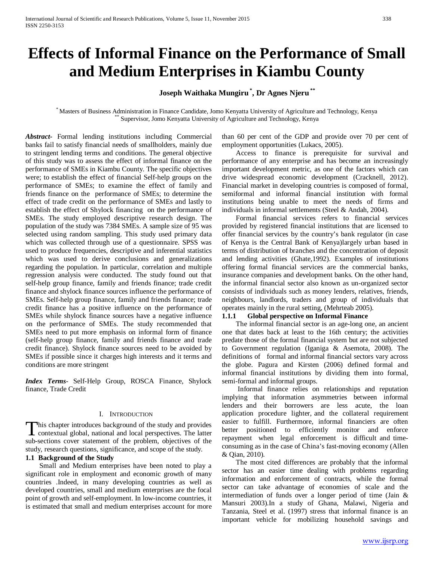# **Effects of Informal Finance on the Performance of Small and Medium Enterprises in Kiambu County**

**Joseph Waithaka Mungiru\* , Dr Agnes Njeru \*\***

\* Masters of Business Administration in Finance Candidate, Jomo Kenyatta University of Agriculture and Technology, Kenya \*\* Supervisor, Jomo Kenyatta University of Agriculture and Technology, Kenya

*Abstract***-** Formal lending institutions including Commercial banks fail to satisfy financial needs of smallholders, mainly due to stringent lending terms and conditions. The general objective of this study was to assess the effect of informal finance on the performance of SMEs in Kiambu County. The specific objectives were; to establish the effect of financial Self-help groups on the performance of SMEs; to examine the effect of family and friends finance on the performance of SMEs; to determine the effect of trade credit on the performance of SMEs and lastly to establish the effect of Shylock financing on the performance of SMEs. The study employed descriptive research design. The population of the study was 7384 SMEs. A sample size of 95 was selected using random sampling. This study used primary data which was collected through use of a questionnaire. SPSS was used to produce frequencies, descriptive and inferential statistics which was used to derive conclusions and generalizations regarding the population. In particular, correlation and multiple regression analysis were conducted. The study found out that self-help group finance, family and friends finance; trade credit finance and shylock finance sources influence the performance of SMEs. Self-help group finance, family and friends finance; trade credit finance has a positive influence on the performance of SMEs while shylock finance sources have a negative influence on the performance of SMEs. The study recommended that SMEs need to put more emphasis on informal form of finance (self-help group finance, family and friends finance and trade credit finance). Shylock finance sources need to be avoided by SMEs if possible since it charges high interests and it terms and conditions are more stringent

*Index Terms*- Self-Help Group, ROSCA Finance, Shylock finance, Trade Credit

#### I. INTRODUCTION

This chapter introduces background of the study and provides<br>contextual global, national and local perspectives. The latter **L** contextual global, national and local perspectives. The latter sub-sections cover statement of the problem, objectives of the study, research questions, significance, and scope of the study.

# **1.1 Background of the Study**

 Small and Medium enterprises have been noted to play a significant role in employment and economic growth of many countries .Indeed, in many developing countries as well as developed countries, small and medium enterprises are the focal point of growth and self-employment. In low-income countries, it is estimated that small and medium enterprises account for more

than 60 per cent of the GDP and provide over 70 per cent of employment opportunities (Lukacs, 2005).

 Access to finance is prerequisite for survival and performance of any enterprise and has become an increasingly important development metric, as one of the factors which can drive widespread economic development (Cracknell, 2012). Financial market in developing countries is composed of formal, semiformal and informal financial institution with formal institutions being unable to meet the needs of firms and individuals in informal settlements (Steel & Andah, 2004).

 Formal financial services refers to financial services provided by registered financial institutions that are licensed to offer financial services by the country's bank regulator (in case of Kenya is the Central Bank of Kenya)largely urban based in terms of distribution of branches and the concentration of deposit and lending activities (Ghate,1992). Examples of institutions offering formal financial services are the commercial banks, insurance companies and development banks. On the other hand, the informal financial sector also known as un-organized sector consists of individuals such as money lenders, relatives, friends, neighbours, landlords, traders and group of individuals that operates mainly in the rural setting, (Mehrteab 2005).

# **1.1.1 Global perspective on Informal Finance**

 The informal financial sector is an age-long one, an ancient one that dates back at least to the 16th century; the activities predate those of the formal financial system but are not subjected to Government regulation (Iganiga & Asemota, 2008). The definitions of formal and informal financial sectors vary across the globe. Pagura and Kirsten (2006) defined formal and informal financial institutions by dividing them into formal, semi-formal and informal groups.

 Informal finance relies on relationships and reputation implying that information asymmetries between informal lenders and their borrowers are less acute, the loan application procedure lighter, and the collateral requirement easier to fulfill. Furthermore, informal financiers are often better positioned to efficiently monitor and enforce repayment when legal enforcement is difficult and timeconsuming as in the case of China's fast-moving economy (Allen & Qian, 2010).

 The most cited differences are probably that the informal sector has an easier time dealing with problems regarding information and enforcement of contracts, while the formal sector can take advantage of economies of scale and the intermediation of funds over a longer period of time (Jain & Mansuri 2003).In a study of Ghana, Malawi, Nigeria and Tanzania, Steel et al. (1997) stress that informal finance is an important vehicle for mobilizing household savings and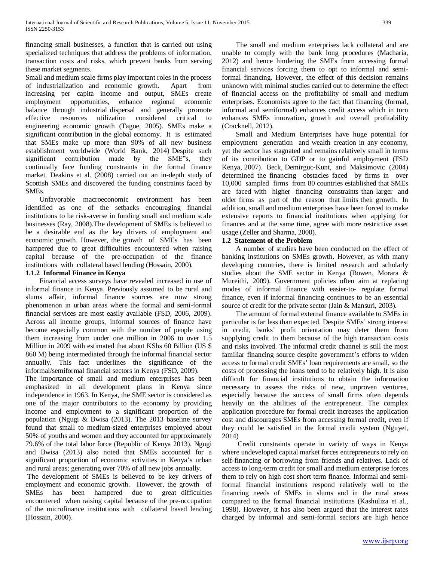financing small businesses, a function that is carried out using specialized techniques that address the problems of information, transaction costs and risks, which prevent banks from serving these market segments.

Small and medium scale firms play important roles in the process of industrialization and economic growth. Apart from increasing per capita income and output, SMEs create employment opportunities, enhance regional economic balance through industrial dispersal and generally promote effective resources utilization considered critical to engineering economic growth (Tagoe, 2005). SMEs make a significant contribution in the global economy. It is estimated that SMEs make up more than 90% of all new business establishment worldwide (World Bank, 2014) Despite such significant contribution made by the SME"s, they continually face funding constraints in the formal finance market. Deakins et al. (2008) carried out an in-depth study of Scottish SMEs and discovered the funding constraints faced by SMEs.

 Unfavorable macroeconomic environment has been identified as one of the setbacks encouraging financial institutions to be risk-averse in funding small and medium scale businesses (Ray, 2008).The development of SMEs is believed to be a desirable end as the key drivers of employment and economic growth. However, the growth of SMEs has been hampered due to great difficulties encountered when raising capital because of the pre-occupation of the finance institutions with collateral based lending (Hossain, 2000).

# **1.1.2 Informal Finance in Kenya**

 Financial access surveys have revealed increased in use of informal finance in Kenya. Previously assumed to be rural and slums affair, informal finance sources are now strong phenomenon in urban areas where the formal and semi-formal financial services are most easily available (FSD, 2006, 2009). Across all income groups, informal sources of finance have become especially common with the number of people using them increasing from under one million in 2006 to over 1.5 Million in 2009 with estimated that about KShs 60 Billion (US \$ 860 M) being intermediated through the informal financial sector annually. This fact underlines the significance of the informal/semiformal financial sectors in Kenya (FSD, 2009).

The importance of small and medium enterprises has been emphasized in all development plans in Kenya since independence in 1963. In Kenya, the SME sector is considered as one of the major contributors to the economy by providing income and employment to a significant proportion of the population (Ngugi & Bwisa (2013). The 2013 baseline survey found that small to medium-sized enterprises employed about 50% of youths and women and they accounted for approximately 79.6% of the total labor force (Republic of Kenya 2013). Ngugi and Bwisa (2013) also noted that SMEs accounted for a significant proportion of economic activities in Kenya's urban and rural areas; generating over 70% of all new jobs annually.

The development of SMEs is believed to be key drivers of employment and economic growth. However, the growth of SMEs has been hampered due to great difficulties encountered when raising capital because of the pre-occupation of the microfinance institutions with collateral based lending (Hossain, 2000).

 The small and medium enterprises lack collateral and are unable to comply with the bank long procedures (Macharia, 2012) and hence hindering the SMEs from accessing formal financial services forcing them to opt to informal and semiformal financing. However, the effect of this decision remains unknown with minimal studies carried out to determine the effect of financial access on the profitability of small and medium enterprises. Economists agree to the fact that financing (formal, informal and semiformal) enhances credit access which in turn enhances SMEs innovation, growth and overall profitability (Cracknell, 2012).

 Small and Medium Enterprises have huge potential for employment generation and wealth creation in any economy, yet the sector has stagnated and remains relatively small in terms of its contribution to GDP or to gainful employment (FSD Kenya, 2007). Beck, Demirguc‐Kunt, and Maksimovic (2004) determined the financing obstacles faced by firms in over 10,000 sampled firms from 80 countries established that SMEs are faced with higher financing constraints than larger and older firms as part of the reason that limits their growth. In addition, small and medium enterprises have been forced to make extensive reports to financial institutions when applying for finances and at the same time, agree with more restrictive asset usage (Zeller and Sharma, 2000).

# **1.2 Statement of the Problem**

 A number of studies have been conducted on the effect of banking institutions on SMEs growth. However, as with many developing countries, there is limited research and scholarly studies about the SME sector in Kenya (Bowen, Morara & Mureithi, 2009). Government policies often aim at replacing modes of informal finance with easier-to- regulate formal finance, even if informal financing continues to be an essential source of credit for the private sector (Jain & Mansuri, 2003).

 The amount of formal external finance available to SMEs in particular is far less than expected. Despite SMEs' strong interest in credit, banks' profit orientation may deter them from supplying credit to them because of the high transaction costs and risks involved. The informal credit channel is still the most familiar financing source despite government's efforts to widen access to formal credit SMEs' loan requirements are small, so the costs of processing the loans tend to be relatively high. It is also difficult for financial institutions to obtain the information necessary to assess the risks of new, unproven ventures, especially because the success of small firms often depends heavily on the abilities of the entrepreneur. The complex application procedure for formal credit increases the application cost and discourages SMEs from accessing formal credit, even if they could be satisfied in the formal credit system (Nguyet, 2014)

 Credit constraints operate in variety of ways in Kenya where undeveloped capital market forces entrepreneurs to rely on self-financing or borrowing from friends and relatives. Lack of access to long-term credit for small and medium enterprise forces them to rely on high cost short term finance. Informal and semiformal financial institutions respond relatively well to the financing needs of SMEs in slums and in the rural areas compared to the formal financial institutions (Kashuliza et al., 1998). However, it has also been argued that the interest rates charged by informal and semi-formal sectors are high hence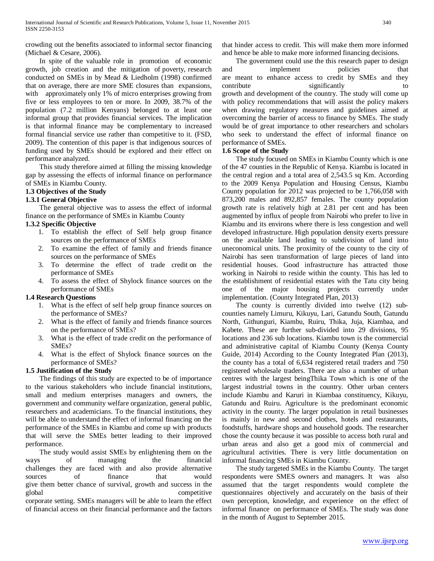crowding out the benefits associated to informal sector financing (Michael & Cesare, 2006).

 In spite of the valuable role in promotion of economic growth, job creation and the mitigation of poverty, research conducted on SMEs in by Mead & Liedholm (1998) confirmed that on average, there are more SME closures than expansions, with approximately only 1% of micro enterprises growing from five or less employees to ten or more. In 2009, 38.7% of the population (7.2 million Kenyans) belonged to at least one informal group that provides financial services. The implication is that informal finance may be complementary to increased formal financial service use rather than competitive to it. (FSD, 2009). The contention of this paper is that indigenous sources of funding used by SMEs should be explored and their effect on performance analyzed.

 This study therefore aimed at filling the missing knowledge gap by assessing the effects of informal finance on performance of SMEs in Kiambu County.

# **1.3 Objectives of the Study**

# **1.3.1 General Objective**

 The general objective was to assess the effect of informal finance on the performance of SMEs in Kiambu County

# **1.3.2 Specific Objective**

- 1. To establish the effect of Self help group finance sources on the performance of SMEs
- 2. To examine the effect of family and friends finance sources on the performance of SMEs
- 3. To determine the effect of trade credit on the performance of SMEs
- 4. To assess the effect of Shylock finance sources on the performance of SMEs

# **1.4 Research Questions**

- 1. What is the effect of self help group finance sources on the performance of SMEs?
- 2. What is the effect of family and friends finance sources on the performance of SMEs?
- 3. What is the effect of trade credit on the performance of SMEs?
- 4. What is the effect of Shylock finance sources on the performance of SMEs?

# **1.5 Justification of the Study**

 The findings of this study are expected to be of importance to the various stakeholders who include financial institutions, small and medium enterprises managers and owners, the government and community welfare organization, general public, researchers and academicians. To the financial institutions, they will be able to understand the effect of informal financing on the performance of the SMEs in Kiambu and come up with products that will serve the SMEs better leading to their improved performance.

 The study would assist SMEs by enlightening them on the ways of managing the financial challenges they are faced with and also provide alternative sources of finance that would give them better chance of survival, growth and success in the global competitive corporate setting. SMEs managers will be able to learn the effect of financial access on their financial performance and the factors that hinder access to credit. This will make them more informed and hence be able to make more informed financing decisions.

 The government could use the this research paper to design and implement policies that are meant to enhance access to credit by SMEs and they contribute significantly to growth and development of the country. The study will come up with policy recommendations that will assist the policy makers when drawing regulatory measures and guidelines aimed at overcoming the barrier of access to finance by SMEs. The study would be of great importance to other researchers and scholars who seek to understand the effect of informal finance on performance of SMEs.

# **1.6 Scope of the Study**

 The study focused on SMEs in Kiambu County which is one of the 47 counties in the Republic of Kenya. Kiambu is located in the central region and a total area of 2,543.5 sq Km. According to the 2009 Kenya Population and Housing Census, Kiambu County population for 2012 was projected to be 1,766,058 with 873,200 males and 892,857 females. The county population growth rate is relatively high at 2.81 per cent and has been augmented by influx of people from Nairobi who prefer to live in Kiambu and its environs where there is less congestion and well developed infrastructure. High population density exerts pressure on the available land leading to subdivision of land into uneconomical units. The proximity of the county to the city of Nairobi has seen transformation of large pieces of land into residential houses. Good infrastructure has attracted those working in Nairobi to reside within the county. This has led to the establishment of residential estates with the Tatu city being one of the major housing projects currently under implementation. (County Integrated Plan, 2013)

 The county is currently divided into twelve (12) subcounties namely Limuru, Kikuyu, Lari, Gatundu South, Gatundu North, Githunguri, Kiambu, Ruiru, Thika, Juja, Kiambaa, and Kabete. These are further sub-divided into 29 divisions, 95 locations and 236 sub locations. Kiambu town is the commercial and administrative capital of Kiambu County (Kenya County Guide, 2014) According to the County Integrated Plan (2013), the county has a total of 6,634 registered retail traders and 750 registered wholesale traders. There are also a number of urban centres with the largest beingThika Town which is one of the largest industrial towns in the country. Other urban centers include Kiambu and Karuri in Kiambaa constituency, Kikuyu, Gatundu and Ruiru. Agriculture is the predominant economic activity in the county. The larger population in retail businesses is mainly in new and second clothes, hotels and restaurants, foodstuffs, hardware shops and household goods. The researcher chose the county because it was possible to access both rural and urban areas and also get a good mix of commercial and agricultural activities. There is very little documentation on informal financing SMEs in Kiambu County.

 The study targeted SMEs in the Kiambu County. The target respondents were SMES owners and managers. It was also assumed that the target respondents would complete the questionnaires objectively and accurately on the basis of their own perception, knowledge, and experience on the effect of informal finance on performance of SMEs. The study was done in the month of August to September 2015.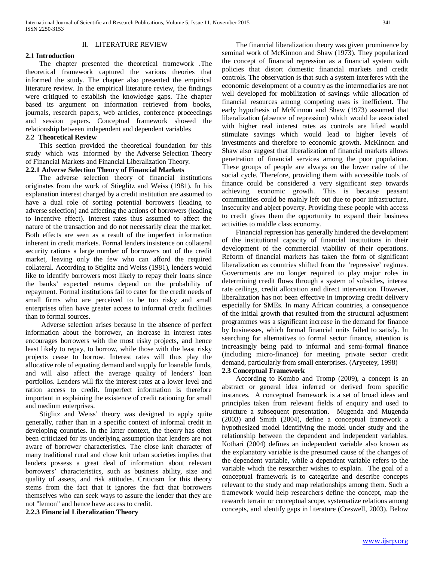#### II. LITERATURE REVIEW

#### **2.1 Introduction**

 The chapter presented the theoretical framework .The theoretical framework captured the various theories that informed the study. The chapter also presented the empirical literature review. In the empirical literature review, the findings were critiqued to establish the knowledge gaps. The chapter based its argument on information retrieved from books, journals, research papers, web articles, conference proceedings and session papers. Conceptual framework showed the relationship between independent and dependent variables

#### **2.2 Theoretical Review**

 This section provided the theoretical foundation for this study which was informed by the Adverse Selection Theory of Financial Markets and Financial Liberalization Theory.

#### **2.2.1 Adverse Selection Theory of Financial Markets**

 The adverse selection theory of financial institutions originates from the work of Stieglitz and Weiss (1981). In his explanation interest charged by a credit institution are assumed to have a dual role of sorting potential borrowers (leading to adverse selection) and affecting the actions of borrowers (leading to incentive effect). Interest rates thus assumed to affect the nature of the transaction and do not necessarily clear the market. Both effects are seen as a result of the imperfect information inherent in credit markets. Formal lenders insistence on collateral security rations a large number of borrowers out of the credit market, leaving only the few who can afford the required collateral. According to Stiglitz and Weiss (1981), lenders would like to identify borrowers most likely to repay their loans since the banks' expected returns depend on the probability of repayment. Formal institutions fail to cater for the credit needs of small firms who are perceived to be too risky and small enterprises often have greater access to informal credit facilities than to formal sources.

 Adverse selection arises because in the absence of perfect information about the borrower, an increase in interest rates encourages borrowers with the most risky projects, and hence least likely to repay, to borrow, while those with the least risky projects cease to borrow. Interest rates will thus play the allocative role of equating demand and supply for loanable funds, and will also affect the average quality of lenders' loan portfolios. Lenders will fix the interest rates at a lower level and ration access to credit. Imperfect information is therefore important in explaining the existence of credit rationing for small and medium enterprises.

 Stiglitz and Weiss' theory was designed to apply quite generally, rather than in a specific context of informal credit in developing countries. In the latter context, the theory has often been criticized for its underlying assumption that lenders are not aware of borrower characteristics. The close knit character of many traditional rural and close knit urban societies implies that lenders possess a great deal of information about relevant borrowers' characteristics, such as business ability, size and quality of assets, and risk attitudes. Criticism for this theory stems from the fact that it ignores the fact that borrowers themselves who can seek ways to assure the lender that they are not "lemon" and hence have access to credit.

**2.2.3 Financial Liberalization Theory**

 The financial liberalization theory was given prominence by seminal work of McKinnon and Shaw (1973). They popularized the concept of financial repression as a financial system with policies that distort domestic financial markets and credit controls. The observation is that such a system interferes with the economic development of a country as the intermediaries are not well developed for mobilization of savings while allocation of financial resources among competing uses is inefficient. The early hypothesis of McKinnon and Shaw (1973) assumed that liberalization (absence of repression) which would be associated with higher real interest rates as controls are lifted would stimulate savings which would lead to higher levels of investments and therefore to economic growth. McKinnon and Shaw also suggest that liberalization of financial markets allows penetration of financial services among the poor population. These groups of people are always on the lower cadre of the social cycle. Therefore, providing them with accessible tools of finance could be considered a very significant step towards achieving economic growth. This is because peasant communities could be mainly left out due to poor infrastructure, insecurity and abject poverty. Providing these people with access to credit gives them the opportunity to expand their business activities to middle class economy.

 Financial repression has generally hindered the development of the institutional capacity of financial institutions in their development of the commercial viability of their operations. Reform of financial markets has taken the form of significant liberalization as countries shifted from the 'repressive' regimes. Governments are no longer required to play major roles in determining credit flows through a system of subsidies, interest rate ceilings, credit allocation and direct intervention. However, liberalization has not been effective in improving credit delivery especially for SMEs. In many African countries, a consequence of the initial growth that resulted from the structural adjustment programmes was a significant increase in the demand for finance by businesses, which formal financial units failed to satisfy. In searching for alternatives to formal sector finance, attention is increasingly being paid to informal and semi-formal finance (including micro-finance) for meeting private sector credit demand, particularly from small enterprises. (Aryeetey, 1998)

#### **2.3 Conceptual Framework**

 According to Kombo and Tromp (2009), a concept is an abstract or general idea inferred or derived from specific instances. A conceptual framework is a set of broad ideas and principles taken from relevant fields of enquiry and used to structure a subsequent presentation. Mugenda and Mugenda (2003) and Smith (2004), define a conceptual framework a hypothesized model identifying the model under study and the relationship between the dependent and independent variables. Kothari (2004) defines an independent variable also known as the explanatory variable is the presumed cause of the changes of the dependent variable, while a dependent variable refers to the variable which the researcher wishes to explain. The goal of a conceptual framework is to categorize and describe concepts relevant to the study and map relationships among them. Such a framework would help researchers define the concept, map the research terrain or conceptual scope, systematize relations among concepts, and identify gaps in literature (Creswell, 2003). Below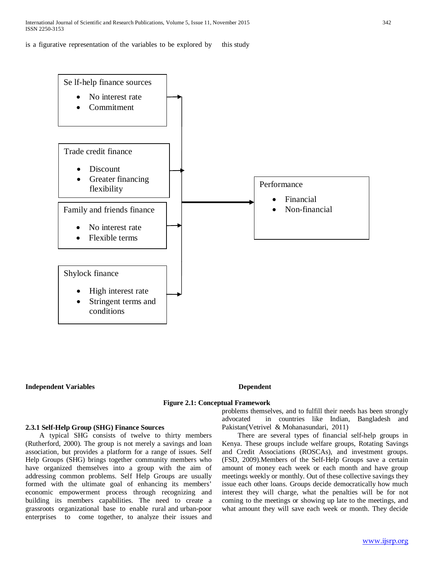is a figurative representation of the variables to be explored by this study



#### **Independent Variables Dependent Variables** Dependent

#### **Figure 2.1: Conceptual Framework**

#### **2.3.1 Self-Help Group (SHG) Finance Sources**

 A typical SHG consists of twelve to thirty members (Rutherford, 2000). The group is not merely a savings and loan association, but provides a platform for a range of issues. Self Help Groups (SHG) brings together community members who have organized themselves into a group with the aim of addressing common problems. Self Help Groups are usually formed with the ultimate goal of enhancing its members' economic empowerment process through recognizing and building its members capabilities. The need to create a grassroots organizational base to enable rural and urban-poor enterprises to come together, to analyze their issues and problems themselves, and to fulfill their needs has been strongly advocated in countries like Indian, Bangladesh and Pakistan(Vetrivel & Mohanasundari, 2011)

 There are several types of financial self-help groups in Kenya. These groups include welfare groups, Rotating Savings and Credit Associations (ROSCAs), and investment groups. (FSD, 2009).Members of the Self-Help Groups save a certain amount of money each week or each month and have group meetings weekly or monthly. Out of these collective savings they issue each other loans. Groups decide democratically how much interest they will charge, what the penalties will be for not coming to the meetings or showing up late to the meetings, and what amount they will save each week or month. They decide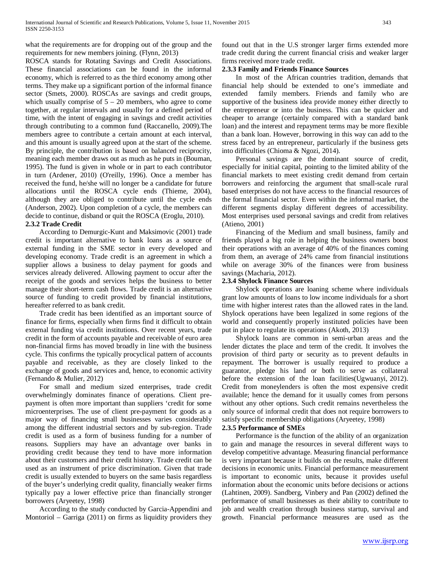what the requirements are for dropping out of the group and the requirements for new members joining. (Flynn, 2013)

ROSCA stands for Rotating Savings and Credit Associations. These financial associations can be found in the informal economy, which is referred to as the third economy among other terms. They make up a significant portion of the informal finance sector (Smets, 2000). ROSCAs are savings and credit groups, which usually comprise of  $5 - 20$  members, who agree to come together, at regular intervals and usually for a defined period of time, with the intent of engaging in savings and credit activities through contributing to a common fund (Raccanello, 2009).The members agree to contribute a certain amount at each interval, and this amount is usually agreed upon at the start of the scheme. By principle, the contribution is based on balanced reciprocity, meaning each member draws out as much as he puts in (Bouman, 1995). The fund is given in whole or in part to each contributor in turn (Ardener, 2010) (O'reilly, 1996). Once a member has received the fund, he/she will no longer be a candidate for future allocations until the ROSCA cycle ends (Thieme, 2004), although they are obliged to contribute until the cycle ends (Anderson, 2002). Upon completion of a cycle, the members can decide to continue, disband or quit the ROSCA (Eroglu, 2010).

#### **2.3.2 Trade Credit**

 According to Demurgic-Kunt and Maksimovic (2001) trade credit is important alternative to bank loans as a source of external funding in the SME sector in every developed and developing economy. Trade credit is an agreement in which a supplier allows a business to delay payment for goods and services already delivered. Allowing payment to occur after the receipt of the goods and services helps the business to better manage their short-term cash flows. Trade credit is an alternative source of funding to credit provided by financial institutions, hereafter referred to as bank credit.

 Trade credit has been identified as an important source of finance for firms, especially when firms find it difficult to obtain external funding via credit institutions. Over recent years, trade credit in the form of accounts payable and receivable of euro area non-financial firms has moved broadly in line with the business cycle. This confirms the typically procyclical pattern of accounts payable and receivable, as they are closely linked to the exchange of goods and services and, hence, to economic activity (Fernando & Mulier, 2012)

 For small and medium sized enterprises, trade credit overwhelmingly dominates finance of operations. Client prepayment is often more important than suppliers 'credit for some microenterprises. The use of client pre-payment for goods as a major way of financing small businesses varies considerably among the different industrial sectors and by sub-region. Trade credit is used as a form of business funding for a number of reasons. Suppliers may have an advantage over banks in providing credit because they tend to have more information about their customers and their credit history. Trade credit can be used as an instrument of price discrimination. Given that trade credit is usually extended to buyers on the same basis regardless of the buyer's underlying credit quality, financially weaker firms typically pay a lower effective price than financially stronger borrowers (Aryeetey, 1998)

 According to the study conducted by Garcia-Appendini and Montoriol – Garriga (2011) on firms as liquidity providers they found out that in the U.S stronger larger firms extended more trade credit during the current financial crisis and weaker larger firms received more trade credit.

# **2.3.3 Family and Friends Finance Sources**

 In most of the African countries tradition, demands that financial help should be extended to one's immediate and extended family members. Friends and family who are supportive of the business idea provide money either directly to the entrepreneur or into the business. This can be quicker and cheaper to arrange (certainly compared with a standard bank loan) and the interest and repayment terms may be more flexible than a bank loan. However, borrowing in this way can add to the stress faced by an entrepreneur, particularly if the business gets into difficulties (Chioma & Ngozi, 2014).

 Personal savings are the dominant source of credit, especially for initial capital, pointing to the limited ability of the financial markets to meet existing credit demand from certain borrowers and reinforcing the argument that small-scale rural based enterprises do not have access to the financial resources of the formal financial sector. Even within the informal market, the different segments display different degrees of accessibility. Most enterprises used personal savings and credit from relatives (Atieno, 2001)

 Financing of the Medium and small business, family and friends played a big role in helping the business owners boost their operations with an average of 40% of the finances coming from them, an average of 24% came from financial institutions while on average 30% of the finances were from business savings (Macharia, 2012).

# **2.3.4 Shylock Finance Sources**

 Shylock operations are loaning scheme where individuals grant low amounts of loans to low income individuals for a short time with higher interest rates than the allowed rates in the land. Shylock operations have been legalized in some regions of the world and consequently properly instituted policies have been put in place to regulate its operations (Akoth, 2013)

 Shylock loans are common in semi-urban areas and the lender dictates the place and term of the credit. It involves the provision of third party or security as to prevent defaults in repayment. The borrower is usually required to produce a guarantor, pledge his land or both to serve as collateral before the extension of the loan facilities(Ugwuanyi, 2012). Credit from moneylenders is often the most expensive credit available; hence the demand for it usually comes from persons without any other options. Such credit remains nevertheless the only source of informal credit that does not require borrowers to satisfy specific membership obligations (Aryeetey, 1998)

# **2.3.5 Performance of SMEs**

 Performance is the function of the ability of an organization to gain and manage the resources in several different ways to develop competitive advantage. Measuring financial performance is very important because it builds on the results, make different decisions in economic units. Financial performance measurement is important to economic units, because it provides useful information about the economic units before decisions or actions (Lahtinen, 2009). Sandberg, Vinbery and Pan (2002) defined the performance of small businesses as their ability to contribute to job and wealth creation through business startup, survival and growth. Financial performance measures are used as the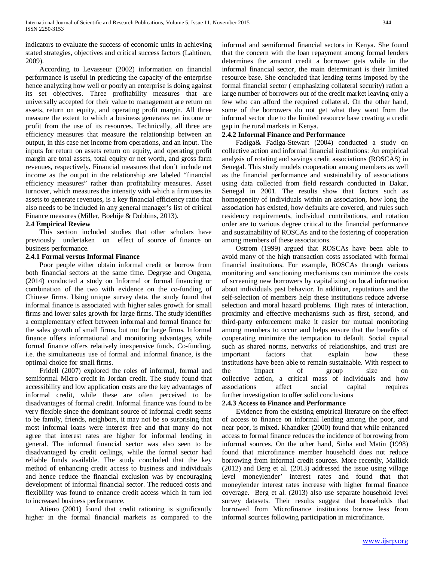indicators to evaluate the success of economic units in achieving stated strategies, objectives and critical success factors (Lahtinen, 2009).

 According to Levasseur (2002) information on financial performance is useful in predicting the capacity of the enterprise hence analyzing how well or poorly an enterprise is doing against its set objectives. Three profitability measures that are universally accepted for their value to management are return on assets, return on equity, and operating profit margin. All three measure the extent to which a business generates net income or profit from the use of its resources. Technically, all three are efficiency measures that measure the relationship between an output, in this case net income from operations, and an input. The inputs for return on assets return on equity, and operating profit margin are total assets, total equity or net worth, and gross farm revenues, respectively. Financial measures that don't include net income as the output in the relationship are labeled "financial efficiency measures" rather than profitability measures. Asset turnover, which measures the intensity with which a firm uses its assets to generate revenues, is a key financial efficiency ratio that also needs to be included in any general manager's list of critical Finance measures (Miller, Boehije & Dobbins, 2013).

#### **2.4 Empirical Review**

 This section included studies that other scholars have previously undertaken on effect of source of finance on business performance.

#### **2.4.1 Formal versus Informal Finance**

 Poor people either obtain informal credit or borrow from both financial sectors at the same time. Degryse and Ongena, (2014) conducted a study on Informal or formal financing or combination of the two with evidence on the co-funding of Chinese firms. Using unique survey data, the study found that informal finance is associated with higher sales growth for small firms and lower sales growth for large firms. The study identifies a complementary effect between informal and formal finance for the sales growth of small firms, but not for large firms. Informal finance offers informational and monitoring advantages, while formal finance offers relatively inexpensive funds. Co-funding, i.e. the simultaneous use of formal and informal finance, is the optimal choice for small firms.

 Fridell (2007) explored the roles of informal, formal and semiformal Micro credit in Jordan credit. The study found that accessibility and low application costs are the key advantages of informal credit, while these are often perceived to be disadvantages of formal credit. Informal finance was found to be very flexible since the dominant source of informal credit seems to be family, friends, neighbors, it may not be so surprising that most informal loans were interest free and that many do not agree that interest rates are higher for informal lending in general. The informal financial sector was also seen to be disadvantaged by credit ceilings, while the formal sector had reliable funds available. The study concluded that the key method of enhancing credit access to business and individuals and hence reduce the financial exclusion was by encouraging development of informal financial sector. The reduced costs and flexibility was found to enhance credit access which in turn led to increased business performance.

 Atieno (2001) found that credit rationing is significantly higher in the formal financial markets as compared to the informal and semiformal financial sectors in Kenya. She found that the concern with the loan repayment among formal lenders determines the amount credit a borrower gets while in the informal financial sector, the main determinant is their limited resource base. She concluded that lending terms imposed by the formal financial sector ( emphasizing collateral security) ration a large number of borrowers out of the credit market leaving only a few who can afford the required collateral. On the other hand, some of the borrowers do not get what they want from the informal sector due to the limited resource base creating a credit gap in the rural markets in Kenya.

#### **2.4.2 Informal Finance and Performance**

 Fadiga& Fadiga-Stewart (2004) conducted a study on collective action and informal financial institutions: An empirical analysis of rotating and savings credit associations (ROSCAS) in Senegal. This study models cooperation among members as well as the financial performance and sustainability of associations using data collected from field research conducted in Dakar, Senegal in 2001. The results show that factors such as homogeneity of individuals within an association, how long the association has existed, how defaults are covered, and rules such residency requirements, individual contributions, and rotation order are to various degree critical to the financial performance and sustainability of ROSCAs and to the fostering of cooperation among members of these associations.

 Ostrom (1999) argued that ROSCAs have been able to avoid many of the high transaction costs associated with formal financial institutions. For example, ROSCAs through various monitoring and sanctioning mechanisms can minimize the costs of screening new borrowers by capitalizing on local information about individuals past behavior. In addition, reputations and the self-selection of members help these institutions reduce adverse selection and moral hazard problems. High rates of interaction, proximity and effective mechanisms such as first, second, and third-party enforcement make it easier for mutual monitoring among members to occur and helps ensure that the benefits of cooperating minimize the temptation to default. Social capital such as shared norms, networks of relationships, and trust are important factors that explain how these institutions have been able to remain sustainable. With respect to the impact of group size on collective action, a critical mass of individuals and how associations affect social capital requires further investigation to offer solid conclusions

#### **2.4.3 Access to Finance and Performance**

 Evidence from the existing empirical literature on the effect of access to finance on informal lending among the poor, and near poor, is mixed. Khandker (2000) found that while enhanced access to formal finance reduces the incidence of borrowing from informal sources. On the other hand, Sinha and Matin (1998) found that microfinance member household does not reduce borrowing from informal credit sources. More recently, Mallick (2012) and Berg et al. (2013) addressed the issue using village level moneylender' interest rates and found that that moneylender interest rates increase with higher formal finance coverage. Berg et al. (2013) also use separate household level survey datasets. Their results suggest that households that borrowed from Microfinance institutions borrow less from informal sources following participation in microfinance.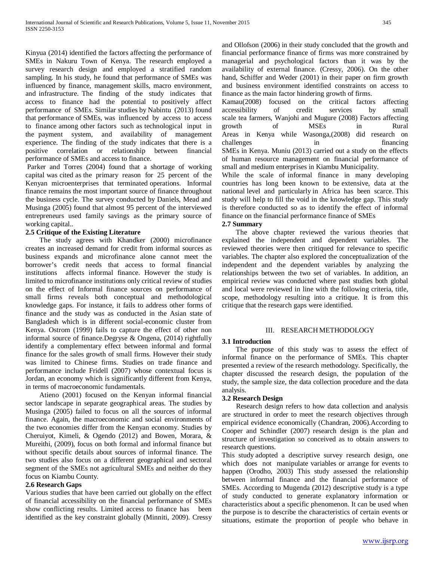Kinyua (2014) identified the factors affecting the performance of SMEs in Nakuru Town of Kenya. The research employed a survey research design and employed a stratified random sampling. In his study, he found that performance of SMEs was influenced by finance, management skills, macro environment, and infrastructure. The finding of the study indicates that access to finance had the potential to positively affect performance of SMEs. Similar studies by Nabintu (2013) found that performance of SMEs, was influenced by access to access to finance among other factors such as technological input in the payment system, and availability of management experience. The finding of the study indicates that there is a positive correlation or relationship between financial performance of SMEs and access to finance.

Parker and Torres (2004) found that a shortage of working capital was cited as the primary reason for 25 percent of the Kenyan microenterprises that terminated operations. Informal finance remains the most important source of finance throughout the business cycle. The survey conducted by Daniels, Mead and Musinga (2005) found that almost 95 percent of the interviewed entrepreneurs used family savings as the primary source of working capital..

#### **2.5 Critique of the Existing Literature**

 The study agrees with Khandker (2000) microfinance creates an increased demand for credit from informal sources as business expands and microfinance alone cannot meet the borrower's credit needs that access to formal financial institutions affects informal finance. However the study is limited to microfinance institutions only critical review of studies on the effect of Informal finance sources on performance of small firms reveals both conceptual and methodological knowledge gaps. For instance, it fails to address other forms of finance and the study was as conducted in the Asian state of Bangladesh which is in different social-economic cluster from Kenya. Ostrom (1999) fails to capture the effect of other non informal source of finance.Degryse & Ongena, (2014) rightfully identify a complementary effect between informal and formal finance for the sales growth of small firms. However their study was limited to Chinese firms. Studies on trade finance and performance include Fridell (2007) whose contextual focus is Jordan, an economy which is significantly different from Kenya, in terms of macroeconomic fundamentals.

 Atieno (2001) focused on the Kenyan informal financial sector landscape in separate geographical areas. The studies by Musinga (2005) failed to focus on all the sources of informal finance. Again, the macroeconomic and social environments of the two economies differ from the Kenyan economy. Studies by Cheruiyot, Kimeli, & Ogendo (2012) and Bowen, Morara, & Mureithi, (2009), focus on both formal and informal finance but without specific details about sources of informal finance. The two studies also focus on a different geographical and sectoral segment of the SMEs not agricultural SMEs and neither do they focus on Kiambu County.

# **2.6 Research Gaps**

Various studies that have been carried out globally on the effect of financial accessibility on the financial performance of SMEs show conflicting results. Limited access to finance has been identified as the key constraint globally (Minniti, 2009). Cressy and Ollofson (2006) in their study concluded that the growth and financial performance finance of firms was more constrained by managerial and psychological factors than it was by the availability of external finance. (Cressy, 2006). On the other hand, Schiffer and Weder (2001) in their paper on firm growth and business environment identified constraints on access to finance as the main factor hindering growth of firms.

Kamau(2008) focused on the critical factors affecting accessibility of credit services by small scale tea farmers, Wanjohi and Mugure (2008) Factors affecting growth of MSEs in Rural Areas in Kenya while Wasonga,(2008) did research on challenges in financing SMEs in Kenya. Muniu (2013) carried out a study on the effects of human resource management on financial performance of small and medium enterprises in Kiambu Municipality.

While the scale of informal finance in many developing countries has long been known to be extensive, data at the national level and particularly in Africa has been scarce. This study will help to fill the void in the knowledge gap. This study is therefore conducted so as to identify the effect of informal finance on the financial performance finance of SMEs

#### **2.7 Summary**

 The above chapter reviewed the various theories that explained the independent and dependent variables. The reviewed theories were then critiqued for relevance to specific variables. The chapter also explored the conceptualization of the independent and the dependent variables by analyzing the relationships between the two set of variables. In addition, an empirical review was conducted where past studies both global and local were reviewed in line with the following criteria, title, scope, methodology resulting into a critique. It is from this critique that the research gaps were identified.

# III. RESEARCH METHODOLOGY

# **3.1 Introduction**

 The purpose of this study was to assess the effect of informal finance on the performance of SMEs. This chapter presented a review of the research methodology. Specifically, the chapter discussed the research design, the population of the study, the sample size, the data collection procedure and the data analysis.

#### **3.2 Research Design**

 Research design refers to how data collection and analysis are structured in order to meet the research objectives through empirical evidence economically (Chandran, 2006).According to Cooper and Schindler (2007) research design is the plan and structure of investigation so conceived as to obtain answers to research questions.

This study adopted a descriptive survey research design, one which does not manipulate variables or arrange for events to happen (Orodho, 2003) This study assessed the relationship between informal finance and the financial performance of SMEs. According to Mugenda (2012) descriptive study is a type of study conducted to generate explanatory information or characteristics about a specific phenomenon. It can be used when the purpose is to describe the characteristics of certain events or situations, estimate the proportion of people who behave in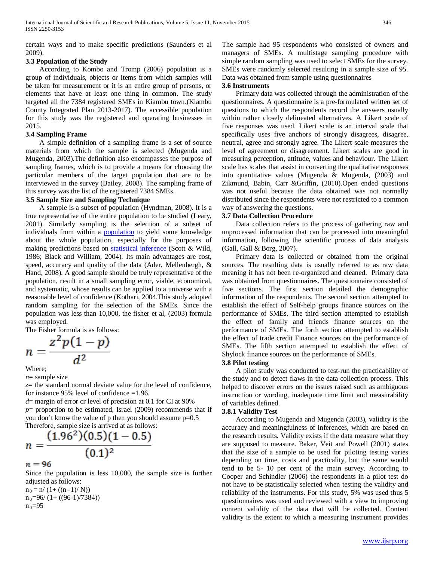certain ways and to make specific predictions (Saunders et al 2009).

# **3.3 Population of the Study**

 According to Kombo and Tromp (2006) population is a group of individuals, objects or items from which samples will be taken for measurement or it is an entire group of persons, or elements that have at least one thing in common. The study targeted all the 7384 registered SMEs in Kiambu town.(Kiambu County Integrated Plan 2013-2017). The accessible population for this study was the registered and operating businesses in 2015.

#### **3.4 Sampling Frame**

 A simple definition of a sampling frame is a set of source materials from which the sample is selected (Mugenda and Mugenda, 2003).The definition also encompasses the purpose of sampling frames, which is to provide a means for choosing the particular members of the target population that are to be interviewed in the survey (Bailey, 2008). The sampling frame of this survey was the list of the registered 7384 SMEs.

#### **3.5 Sample Size and Sampling Technique**

 A sample is a subset of population (Hyndman, 2008). It is a true representative of the entire population to be studied (Leary, 2001). Similarly sampling is the selection of a subset of individuals from within a **population** to yield some knowledge about the whole population, especially for the purposes of making predictions based on [statistical inference](http://en.wikipedia.org/wiki/Statistical_inference) (Scott & Wild, 1986; Black and William, 2004). Its main advantages are cost, speed, accuracy and quality of the data (Ader, Mellenbergh, & Hand, 2008). A good sample should be truly representative of the population, result in a small sampling error, viable, economical, and systematic, whose results can be applied to a universe with a reasonable level of confidence (Kothari, 2004.This study adopted random sampling for the selection of the SMEs. Since the population was less than 10,000, the fisher et al, (2003) formula was employed.

The Fisher formula is as follows:

$$
n=\frac{z^2p(1-p)}{d^2}
$$

Where;

*n*= sample size

*z*= the standard normal deviate value for the level of confidence, for instance 95% level of confidence =1.96.

*d*= margin of error or level of precision at 0.1 for CI at 90%  $p=$  proportion to be estimated, Israel (2009) recommends that if you don't know the value of p then you should assume p=0.5 Therefore, sample size is arrived at as follows:

$$
n = \frac{(1.96^2)(0.5)(1 - 0.5)}{(0.1)^2}
$$

 $n = 96$ 

Since the population is less 10,000, the sample size is further adjusted as follows:

 $n_0 = n/(1 + ((n-1)/N))$  $n_0=96/(1+ ((96-1)/7384))$  $n_0 = 95$ 

The sample had 95 respondents who consisted of owners and managers of SMEs. A multistage sampling procedure with simple random sampling was used to select SMEs for the survey. SMEs were randomly selected resulting in a sample size of 95. Data was obtained from sample using questionnaires

#### **3.6 Instruments**

 Primary data was collected through the administration of the questionnaires. A questionnaire is a pre-formulated written set of questions to which the respondents record the answers usually within rather closely delineated alternatives. A Likert scale of five responses was used. Likert scale is an interval scale that specifically uses five anchors of strongly disagrees, disagree, neutral, agree and strongly agree. The Likert scale measures the level of agreement or disagreement. Likert scales are good in measuring perception, attitude, values and behaviour. The Likert scale has scales that assist in converting the qualitative responses into quantitative values (Mugenda & Mugenda, (2003) and Zikmund, Babin, Carr &Griffin, (2010).Open ended questions was not useful because the data obtained was not normally distributed since the respondents were not restricted to a common way of answering the questions.

# **3.7 Data Collection Procedure**

 Data collection refers to the process of gathering raw and unprocessed information that can be processed into meaningful information, following the scientific process of data analysis (Gall, Gall & Borg, 2007).

 Primary data is collected or obtained from the original sources. The resulting data is usually referred to as raw data meaning it has not been re-organized and cleaned. Primary data was obtained from questionnaires. The questionnaire consisted of five sections. The first section detailed the demographic information of the respondents. The second section attempted to establish the effect of Self-help groups finance sources on the performance of SMEs. The third section attempted to establish the effect of family and friends finance sources on the performance of SMEs. The forth section attempted to establish the effect of trade credit Finance sources on the performance of SMEs. The fifth section attempted to establish the effect of Shylock finance sources on the performance of SMEs.

#### **3.8 Pilot testing**

 A pilot study was conducted to test-run the practicability of the study and to detect flaws in the data collection process. This helped to discover errors on the issues raised such as ambiguous instruction or wording, inadequate time limit and measurability of variables defined.

#### **3.8.1 Validity Test**

 According to Mugenda and Mugenda (2003), validity is the accuracy and meaningfulness of inferences, which are based on the research results. Validity exists if the data measure what they are supposed to measure. Baker, Veit and Powell (2001) states that the size of a sample to be used for piloting testing varies depending on time, costs and practicality, but the same would tend to be 5- 10 per cent of the main survey. According to Cooper and Schindler (2006) the respondents in a pilot test do not have to be statistically selected when testing the validity and reliability of the instruments. For this study, 5% was used thus 5 questionnaires was used and reviewed with a view to improving content validity of the data that will be collected. Content validity is the extent to which a measuring instrument provides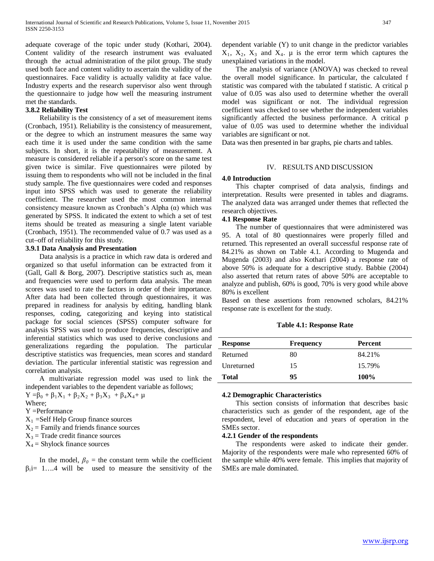adequate coverage of the topic under study (Kothari, 2004). Content validity of the research instrument was evaluated through the actual administration of the pilot group. The study used both face and content validity to ascertain the validity of the questionnaires. Face validity is actually validity at face value. Industry experts and the research supervisor also went through the questionnaire to judge how well the measuring instrument met the standards.

#### **3.8.2 Reliability Test**

 Reliability is the consistency of a set of measurement items (Cronbach, 1951). Reliability is the consistency of measurement, or the degree to which an instrument measures the same way each time it is used under the same condition with the same subjects. In short, it is the repeatability of measurement. A measure is considered reliable if a person's score on the same test given twice is similar. Five questionnaires were piloted by issuing them to respondents who will not be included in the final study sample. The five questionnaires were coded and responses input into SPSS which was used to generate the reliability coefficient. The researcher used the most common internal consistency measure known as Cronbach's Alpha (α) which was generated by SPSS. It indicated the extent to which a set of test items should be treated as measuring a single latent variable (Cronbach, 1951). The recommended value of 0.7 was used as a cut–off of reliability for this study.

#### **3.9.1 Data Analysis and Presentation**

 Data analysis is a practice in which raw data is ordered and organized so that useful information can be extracted from it (Gall, Gall & Borg, 2007). Descriptive statistics such as, mean and frequencies were used to perform data analysis. The mean scores was used to rate the factors in order of their importance. After data had been collected through questionnaires, it was prepared in readiness for analysis by editing, handling blank responses, coding, categorizing and keying into statistical package for social sciences (SPSS) computer software for analysis SPSS was used to produce frequencies, descriptive and inferential statistics which was used to derive conclusions and generalizations regarding the population. The particular descriptive statistics was frequencies, mean scores and standard deviation. The particular inferential statistic was regression and correlation analysis.

 A multivariate regression model was used to link the independent variables to the dependent variable as follows;

 $Y = \beta_0 + \beta_1 X_1 + \beta_2 X_2 + \beta_3 X_3 + \beta_4 X_4 + \mu$ Where;

Y =Performance

 $X_1$  =Self Help Group finance sources

- $X_2$  = Family and friends finance sources
- $X_3$  = Trade credit finance sources
- $X_4$  = Shylock finance sources

In the model,  $\beta_0$  = the constant term while the coefficient  $\beta_i = 1...4$  will be used to measure the sensitivity of the dependent variable (Y) to unit change in the predictor variables  $X_1$ ,  $X_2$ ,  $X_3$  and  $X_4$ .  $\mu$  is the error term which captures the unexplained variations in the model.

 The analysis of variance (ANOVA) was checked to reveal the overall model significance. In particular, the calculated f statistic was compared with the tabulated f statistic. A critical p value of 0.05 was also used to determine whether the overall model was significant or not. The individual regression coefficient was checked to see whether the independent variables significantly affected the business performance. A critical p value of 0.05 was used to determine whether the individual variables are significant or not.

Data was then presented in bar graphs, pie charts and tables.

#### IV. RESULTS AND DISCUSSION

#### **4.0 Introduction**

 This chapter comprised of data analysis, findings and interpretation. Results were presented in tables and diagrams. The analyzed data was arranged under themes that reflected the research objectives.

#### **4.1 Response Rate**

 The number of questionnaires that were administered was 95. A total of 80 questionnaires were properly filled and returned. This represented an overall successful response rate of 84.21% as shown on Table 4.1. According to Mugenda and Mugenda (2003) and also Kothari (2004) a response rate of above 50% is adequate for a descriptive study. Babbie (2004) also asserted that return rates of above 50% are acceptable to analyze and publish, 60% is good, 70% is very good while above 80% is excellent

Based on these assertions from renowned scholars, 84.21% response rate is excellent for the study.

#### **Table 4.1: Response Rate**

| <b>Response</b> | <b>Frequency</b> | Percent     |
|-----------------|------------------|-------------|
| Returned        | 80               | 84.21%      |
| Unreturned      | 15               | 15.79%      |
| <b>Total</b>    | 95               | <b>100%</b> |

#### **4.2 Demographic Characteristics**

 This section consists of information that describes basic characteristics such as gender of the respondent, age of the respondent, level of education and years of operation in the SMEs sector.

#### **4.2.1 Gender of the respondents**

 The respondents were asked to indicate their gender. Majority of the respondents were male who represented 60% of the sample while 40% were female. This implies that majority of SMEs are male dominated.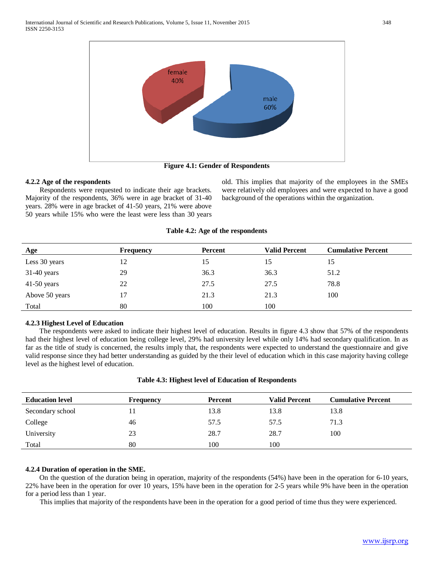

**Figure 4.1: Gender of Respondents**

#### **4.2.2 Age of the respondents**

 Respondents were requested to indicate their age brackets. Majority of the respondents, 36% were in age bracket of 31-40 years. 28% were in age bracket of 41-50 years, 21% were above 50 years while 15% who were the least were less than 30 years

old. This implies that majority of the employees in the SMEs were relatively old employees and were expected to have a good background of the operations within the organization.

#### **Table 4.2: Age of the respondents**

| Age            | <b>Frequency</b> | Percent | <b>Valid Percent</b> | <b>Cumulative Percent</b> |
|----------------|------------------|---------|----------------------|---------------------------|
| Less 30 years  | 12               | 15      | 15                   | 15                        |
| $31-40$ years  | 29               | 36.3    | 36.3                 | 51.2                      |
| $41-50$ years  | 22               | 27.5    | 27.5                 | 78.8                      |
| Above 50 years | 17               | 21.3    | 21.3                 | 100                       |
| Total          | 80               | 100     | 100                  |                           |

#### **4.2.3 Highest Level of Education**

 The respondents were asked to indicate their highest level of education. Results in figure 4.3 show that 57% of the respondents had their highest level of education being college level, 29% had university level while only 14% had secondary qualification. In as far as the title of study is concerned, the results imply that, the respondents were expected to understand the questionnaire and give valid response since they had better understanding as guided by the their level of education which in this case majority having college level as the highest level of education.

|  | Table 4.3: Highest level of Education of Respondents |
|--|------------------------------------------------------|
|  |                                                      |

| <b>Education level</b> | Frequency | Percent | <b>Valid Percent</b> | <b>Cumulative Percent</b> |
|------------------------|-----------|---------|----------------------|---------------------------|
| Secondary school       |           | 13.8    | 13.8                 | 13.8                      |
| College                | 46        | 57.5    | 57.5                 | 71.3                      |
| University             | 23        | 28.7    | 28.7                 | 100                       |
| Total                  | 80        | 100     | 100                  |                           |

# **4.2.4 Duration of operation in the SME.**

 On the question of the duration being in operation, majority of the respondents (54%) have been in the operation for 6-10 years, 22% have been in the operation for over 10 years, 15% have been in the operation for 2-5 years while 9% have been in the operation for a period less than 1 year.

This implies that majority of the respondents have been in the operation for a good period of time thus they were experienced.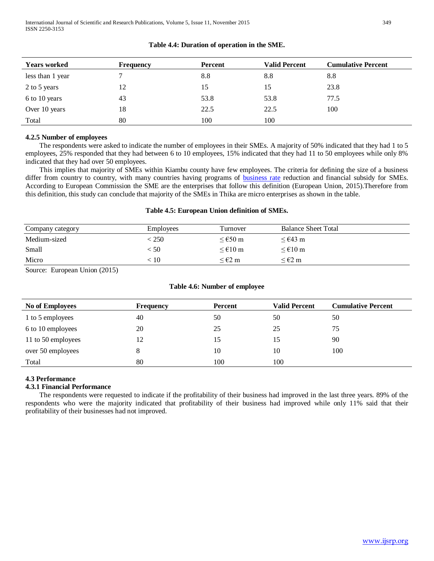| <b>Years worked</b> | Frequency | <b>Percent</b> | <b>Valid Percent</b> | <b>Cumulative Percent</b> |
|---------------------|-----------|----------------|----------------------|---------------------------|
| less than 1 year    |           | 8.8            | 8.8                  | 8.8                       |
| 2 to 5 years        | 12        | 15             | 15                   | 23.8                      |
| 6 to 10 years       | 43        | 53.8           | 53.8                 | 77.5                      |
| Over 10 years       | 18        | 22.5           | 22.5                 | 100                       |
| Total               | 80        | 100            | 100                  |                           |

# **Table 4.4: Duration of operation in the SME.**

#### **4.2.5 Number of employees**

 The respondents were asked to indicate the number of employees in their SMEs. A majority of 50% indicated that they had 1 to 5 employees, 25% responded that they had between 6 to 10 employees, 15% indicated that they had 11 to 50 employees while only 8% indicated that they had over 50 employees.

 This implies that majority of SMEs within Kiambu county have few employees. The criteria for defining the size of a business differ from country to country, with many countries having programs of [business rate](https://en.wikipedia.org/wiki/Business_rate) reduction and financial subsidy for SMEs. According to European Commission the SME are the enterprises that follow this definition (European Union, 2015).Therefore from this definition, this study can conclude that majority of the SMEs in Thika are micro enterprises as shown in the table.

#### **Table 4.5: European Union definition of SMEs.**

| Company category | <b>Employees</b>           | Turnover                                | <b>Balance Sheet Total</b>              |
|------------------|----------------------------|-----------------------------------------|-----------------------------------------|
| Medium-sized     | : 250 $\overline{a}$       | $\leq$ 650 m                            | $\leq$ $\in$ 43 m                       |
| Small            | $\stackrel{<}{_{\sim}} 50$ | $\leq \text{\textsterling}10 \text{ m}$ | $\leq \text{\textsterling}10 \text{ m}$ |
| Micro            | 10                         | $<$ $\in$ 2 m                           | $\leq \epsilon$ 2 m                     |

Source: European Union (2015)

#### **Table 4.6: Number of employee**

| <b>No of Employees</b> | <b>Frequency</b> | <b>Percent</b> | <b>Valid Percent</b> | <b>Cumulative Percent</b> |
|------------------------|------------------|----------------|----------------------|---------------------------|
| 1 to 5 employees       | 40               | 50             | 50                   | 50                        |
| 6 to 10 employees      | 20               | 25             | 25                   | 75                        |
| 11 to 50 employees     | 12               | 15             |                      | 90                        |
| over 50 employees      | 8                | 10             | 10                   | 100                       |
| Total                  | 80               | 100            | 100                  |                           |

# **4.3 Performance**

#### **4.3.1 Financial Performance**

 The respondents were requested to indicate if the profitability of their business had improved in the last three years. 89% of the respondents who were the majority indicated that profitability of their business had improved while only 11% said that their profitability of their businesses had not improved.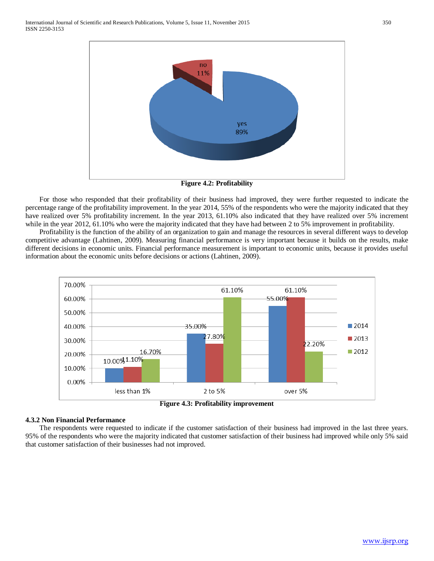

**Figure 4.2: Profitability**

 For those who responded that their profitability of their business had improved, they were further requested to indicate the percentage range of the profitability improvement. In the year 2014, 55% of the respondents who were the majority indicated that they have realized over 5% profitability increment. In the year 2013, 61.10% also indicated that they have realized over 5% increment while in the year 2012, 61.10% who were the majority indicated that they have had between 2 to 5% improvement in profitability.

 Profitability is the function of the ability of an organization to gain and manage the resources in several different ways to develop competitive advantage (Lahtinen, 2009). Measuring financial performance is very important because it builds on the results, make different decisions in economic units. Financial performance measurement is important to economic units, because it provides useful information about the economic units before decisions or actions (Lahtinen, 2009).



**Figure 4.3: Profitability improvement**

#### **4.3.2 Non Financial Performance**

 The respondents were requested to indicate if the customer satisfaction of their business had improved in the last three years. 95% of the respondents who were the majority indicated that customer satisfaction of their business had improved while only 5% said that customer satisfaction of their businesses had not improved.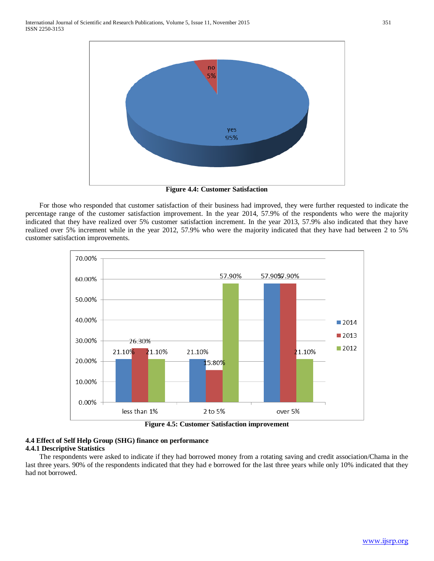

**Figure 4.4: Customer Satisfaction**

 For those who responded that customer satisfaction of their business had improved, they were further requested to indicate the percentage range of the customer satisfaction improvement. In the year 2014, 57.9% of the respondents who were the majority indicated that they have realized over 5% customer satisfaction increment. In the year 2013, 57.9% also indicated that they have realized over 5% increment while in the year 2012, 57.9% who were the majority indicated that they have had between 2 to 5% customer satisfaction improvements.



**Figure 4.5: Customer Satisfaction improvement**

### **4.4 Effect of Self Help Group (SHG) finance on performance 4.4.1 Descriptive Statistics**

 The respondents were asked to indicate if they had borrowed money from a rotating saving and credit association/Chama in the last three years. 90% of the respondents indicated that they had e borrowed for the last three years while only 10% indicated that they had not borrowed.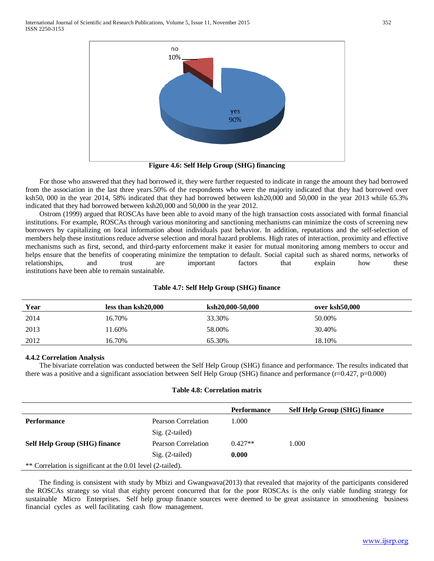

**Figure 4.6: Self Help Group (SHG) financing**

 For those who answered that they had borrowed it, they were further requested to indicate in range the amount they had borrowed from the association in the last three years.50% of the respondents who were the majority indicated that they had borrowed over ksh50, 000 in the year 2014, 58% indicated that they had borrowed between ksh20,000 and 50,000 in the year 2013 while 65.3% indicated that they had borrowed between ksh20,000 and 50,000 in the year 2012.

 Ostrom (1999) argued that ROSCAs have been able to avoid many of the high transaction costs associated with formal financial institutions. For example, ROSCAs through various monitoring and sanctioning mechanisms can minimize the costs of screening new borrowers by capitalizing on local information about individuals past behavior. In addition, reputations and the self-selection of members help these institutions reduce adverse selection and moral hazard problems. High rates of interaction, proximity and effective mechanisms such as first, second, and third-party enforcement make it easier for mutual monitoring among members to occur and helps ensure that the benefits of cooperating minimize the temptation to default. Social capital such as shared norms, networks of relationships, and trust are important factors that explain how these institutions have been able to remain sustainable.

| Year | less than ksh20,000 | ksh20,000-50,000 | over ksh50,000 |  |
|------|---------------------|------------------|----------------|--|
| 2014 | 16.70%              | 33.30%           | 50.00%         |  |
| 2013 | 1.60%               | 58.00%           | 30.40%         |  |
| 2012 | 16.70%              | 65.30%           | 18.10%         |  |

#### **Table 4.7: Self Help Group (SHG) finance**

#### **4.4.2 Correlation Analysis**

 The bivariate correlation was conducted between the Self Help Group (SHG) finance and performance. The results indicated that there was a positive and a significant association between Self Help Group (SHG) finance and performance (r=0.427, p=0.000)

#### **Table 4.8: Correlation matrix**

|                                                             |                     | <b>Performance</b> | <b>Self Help Group (SHG) finance</b> |  |
|-------------------------------------------------------------|---------------------|--------------------|--------------------------------------|--|
| <b>Performance</b>                                          | Pearson Correlation | 1.000              |                                      |  |
|                                                             | $Sig. (2-tailed)$   |                    |                                      |  |
| Self Help Group (SHG) finance                               | Pearson Correlation | $0.427**$          | 1.000                                |  |
|                                                             | Sig. (2-tailed)     | 0.000              |                                      |  |
| ** Correlation is significant at the 0.01 level (2-tailed). |                     |                    |                                      |  |

 The finding is consistent with study by Mbizi and Gwangwava(2013) that revealed that majority of the participants considered the ROSCAs strategy so vital that eighty percent concurred that for the poor ROSCAs is the only viable funding strategy for sustainable Micro Enterprises. Self help group finance sources were deemed to be great assistance in smoothening business financial cycles as well facilitating cash flow management.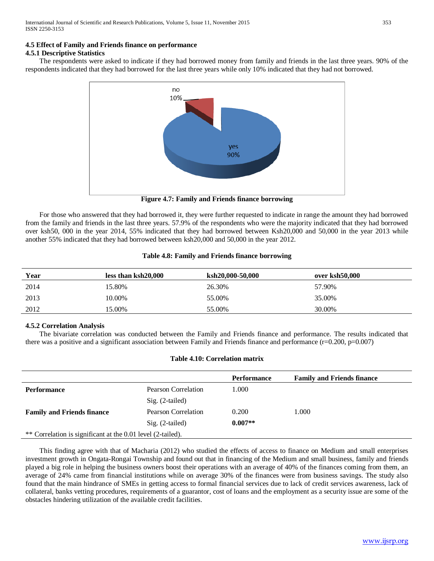# **4.5 Effect of Family and Friends finance on performance**

#### **4.5.1 Descriptive Statistics**

 The respondents were asked to indicate if they had borrowed money from family and friends in the last three years. 90% of the respondents indicated that they had borrowed for the last three years while only 10% indicated that they had not borrowed.



**Figure 4.7: Family and Friends finance borrowing**

 For those who answered that they had borrowed it, they were further requested to indicate in range the amount they had borrowed from the family and friends in the last three years. 57.9% of the respondents who were the majority indicated that they had borrowed over ksh50, 000 in the year 2014, 55% indicated that they had borrowed between Ksh20,000 and 50,000 in the year 2013 while another 55% indicated that they had borrowed between ksh20,000 and 50,000 in the year 2012.

#### **Table 4.8: Family and Friends finance borrowing**

| Year | less than ksh20,000 | ksh20,000-50,000 | over ksh50,000 |
|------|---------------------|------------------|----------------|
| 2014 | 15.80%              | 26.30%           | 57.90%         |
| 2013 | 10.00%              | 55.00%           | 35.00%         |
| 2012 | 15.00%              | 55.00%           | 30.00%         |

# **4.5.2 Correlation Analysis**

 The bivariate correlation was conducted between the Family and Friends finance and performance. The results indicated that there was a positive and a significant association between Family and Friends finance and performance  $(r=0.200, p=0.007)$ 

#### **Table 4.10: Correlation matrix**

|                                                             |                     | <b>Performance</b> | <b>Family and Friends finance</b> |  |
|-------------------------------------------------------------|---------------------|--------------------|-----------------------------------|--|
| <b>Performance</b>                                          | Pearson Correlation | 1.000              |                                   |  |
|                                                             | $Sig. (2-tailed)$   |                    |                                   |  |
| <b>Family and Friends finance</b>                           | Pearson Correlation | 0.200              | 1.000                             |  |
|                                                             | $Sig. (2-tailed)$   | $0.007**$          |                                   |  |
| ** Correlation is significant at the 0.01 level (2-tailed). |                     |                    |                                   |  |

 This finding agree with that of Macharia (2012) who studied the effects of access to finance on Medium and small enterprises investment growth in Ongata-Rongai Township and found out that in financing of the Medium and small business, family and friends played a big role in helping the business owners boost their operations with an average of 40% of the finances coming from them, an average of 24% came from financial institutions while on average 30% of the finances were from business savings. The study also found that the main hindrance of SMEs in getting access to formal financial services due to lack of credit services awareness, lack of collateral, banks vetting procedures, requirements of a guarantor, cost of loans and the employment as a security issue are some of the obstacles hindering utilization of the available credit facilities.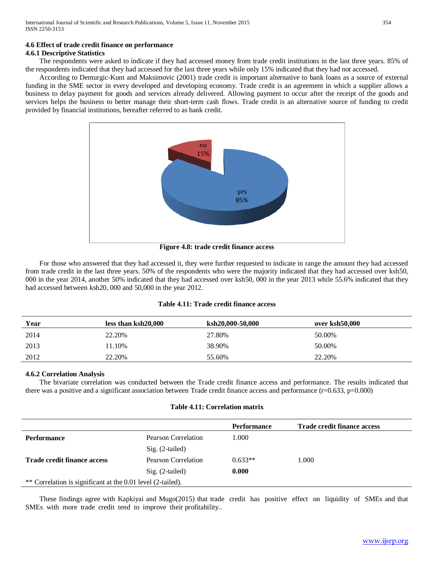# **4.6 Effect of trade credit finance on performance**

#### **4.6.1 Descriptive Statistics**

 The respondents were asked to indicate if they had accessed money from trade credit institutions in the last three years. 85% of the respondents indicated that they had accessed for the last three years while only 15% indicated that they had not accessed.

 According to Demurgic-Kunt and Maksimovic (2001) trade credit is important alternative to bank loans as a source of external funding in the SME sector in every developed and developing economy. Trade credit is an agreement in which a supplier allows a business to delay payment for goods and services already delivered. Allowing payment to occur after the receipt of the goods and services helps the business to better manage their short-term cash flows. Trade credit is an alternative source of funding to credit provided by financial institutions, hereafter referred to as bank credit.



**Figure 4.8: trade credit finance access**

 For those who answered that they had accessed it, they were further requested to indicate in range the amount they had accessed from trade credit in the last three years. 50% of the respondents who were the majority indicated that they had accessed over ksh50, 000 in the year 2014, another 50% indicated that they had accessed over ksh50, 000 in the year 2013 while 55.6% indicated that they had accessed between ksh20, 000 and 50,000 in the year 2012.

# **Table 4.11: Trade credit finance access**

| Year | less than ksh20,000 | ksh20,000-50,000 | over ksh50.000 |
|------|---------------------|------------------|----------------|
| 2014 | 22.20%              | 27.80%           | 50.00%         |
| 2013 | 11.10%              | 38.90%           | 50.00%         |
| 2012 | 22.20%              | 55.60%           | 22.20%         |

#### **4.6.2 Correlation Analysis**

 The bivariate correlation was conducted between the Trade credit finance access and performance. The results indicated that there was a positive and a significant association between Trade credit finance access and performance  $(r=0.633, p=0.000)$ 

#### **Table 4.11: Correlation matrix**

|                                                             |                     | <b>Performance</b> | Trade credit finance access |
|-------------------------------------------------------------|---------------------|--------------------|-----------------------------|
| <b>Performance</b>                                          | Pearson Correlation | L.000              |                             |
|                                                             | Sig. (2-tailed)     |                    |                             |
| Trade credit finance access                                 | Pearson Correlation | $0.633**$          | 1.000                       |
|                                                             | $Sig. (2-tailed)$   | 0.000              |                             |
| ** Correlation is significant at the 0.01 level (2-tailed). |                     |                    |                             |

 These findings agree with Kapkiyai and Mugo(2015) that trade credit has positive effect on liquidity of SMEs and that SMEs with more trade credit tend to improve their profitability..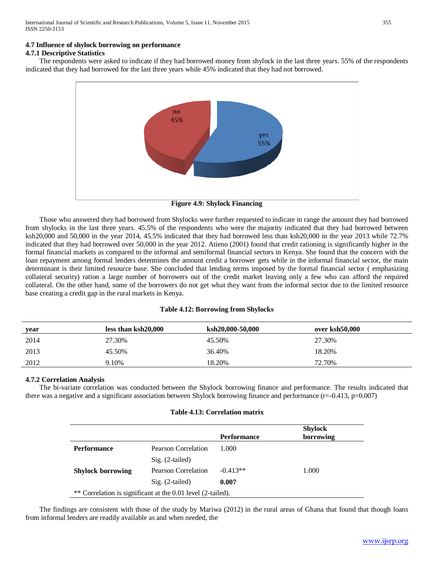# **4.7 Influence of shylock borrowing on performance**

# **4.7.1 Descriptive Statistics**

 The respondents were asked to indicate if they had borrowed money from shylock in the last three years. 55% of the respondents indicated that they had borrowed for the last three years while 45% indicated that they had not borrowed.



**Figure 4.9: Shylock Financing**

 Those who answered they had borrowed from Shylocks were further requested to indicate in range the amount they had borrowed from shylocks in the last three years. 45.5% of the respondents who were the majority indicated that they had borrowed between ksh20,000 and 50,000 in the year 2014, 45.5% indicated that they had borrowed less than ksh20,000 in the year 2013 while 72.7% indicated that they had borrowed over 50,000 in the year 2012. Atieno (2001) found that credit rationing is significantly higher in the formal financial markets as compared to the informal and semiformal financial sectors in Kenya. She found that the concern with the loan repayment among formal lenders determines the amount credit a borrower gets while in the informal financial sector, the main determinant is their limited resource base. She concluded that lending terms imposed by the formal financial sector ( emphasizing collateral security) ration a large number of borrowers out of the credit market leaving only a few who can afford the required collateral. On the other hand, some of the borrowers do not get what they want from the informal sector due to the limited resource base creating a credit gap in the rural markets in Kenya.

| vear | less than ksh20,000 | ksh20,000-50,000 | over ksh50,000 |
|------|---------------------|------------------|----------------|
| 2014 | 27.30%              | 45.50%           | 27.30%         |
| 2013 | 45.50%              | 36.40%           | 18.20%         |
| 2012 | 9.10%               | 18.20%           | 72.70%         |

# **4.7.2 Correlation Analysis**

 The bi-variate correlation was conducted between the Shylock borrowing finance and performance. The results indicated that there was a negative and a significant association between Shylock borrowing finance and performance (r=-0.413, p=0.007)

#### **Table 4.13: Correlation matrix**

|                                                             |                            | <b>Performance</b> | <b>Shylock</b><br>borrowing |  |
|-------------------------------------------------------------|----------------------------|--------------------|-----------------------------|--|
| <b>Performance</b>                                          | <b>Pearson Correlation</b> | 1.000              |                             |  |
|                                                             | $Sig. (2-tailed)$          |                    |                             |  |
| <b>Shylock borrowing</b>                                    | Pearson Correlation        | $-0.413**$         | 1.000                       |  |
|                                                             | $Sig. (2-tailed)$          | 0.007              |                             |  |
| ** Correlation is significant at the 0.01 level (2-tailed). |                            |                    |                             |  |

 The findings are consistent with those of the study by Mariwa (2012) in the rural areas of Ghana that found that though loans from informal lenders are readily available as and when needed, the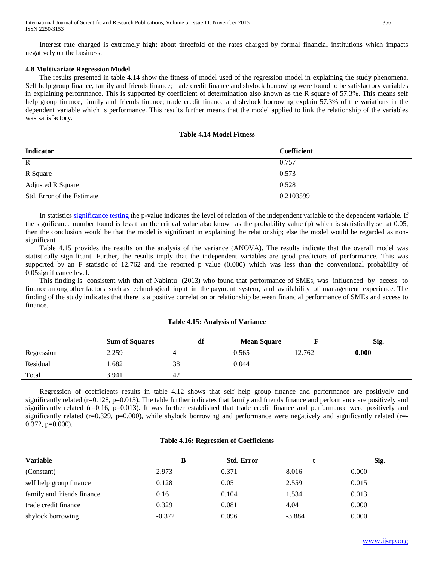Interest rate charged is extremely high; about threefold of the rates charged by formal financial institutions which impacts negatively on the business.

#### **4.8 Multivariate Regression Model**

 The results presented in table 4.14 show the fitness of model used of the regression model in explaining the study phenomena. Self help group finance, family and friends finance; trade credit finance and shylock borrowing were found to be satisfactory variables in explaining performance. This is supported by coefficient of determination also known as the R square of 57.3%. This means self help group finance, family and friends finance; trade credit finance and shylock borrowing explain 57.3% of the variations in the dependent variable which is performance. This results further means that the model applied to link the relationship of the variables was satisfactory.

#### **Table 4.14 Model Fitness**

| <b>Indicator</b>           | <b>Coefficient</b> |
|----------------------------|--------------------|
| $\mathbf R$                | 0.757              |
| R Square                   | 0.573              |
| Adjusted R Square          | 0.528              |
| Std. Error of the Estimate | 0.2103599          |

 In statistics [significance testing](http://en.wikipedia.org/wiki/Significance_testing) the p-value indicates the level of relation of the independent variable to the dependent variable. If the significance number found is less than the critical value also known as the probability value (p) which is statistically set at 0.05, then the conclusion would be that the model is significant in explaining the relationship; else the model would be regarded as nonsignificant.

 Table 4.15 provides the results on the analysis of the variance (ANOVA). The results indicate that the overall model was statistically significant. Further, the results imply that the independent variables are good predictors of performance. This was supported by an F statistic of 12.762 and the reported p value (0.000) which was less than the conventional probability of 0.05significance level.

 This finding is consistent with that of Nabintu (2013) who found that performance of SMEs, was influenced by access to finance among other factors such as technological input in the payment system, and availability of management experience. The finding of the study indicates that there is a positive correlation or relationship between financial performance of SMEs and access to finance.

#### **Table 4.15: Analysis of Variance**

|            | <b>Sum of Squares</b> | -d1 | <b>Mean Square</b> |        | Sig.  |
|------------|-----------------------|-----|--------------------|--------|-------|
| Regression | 2.259                 |     | 0.565              | 12.762 | 0.000 |
| Residual   | 1.682                 | 38  | 0.044              |        |       |
| Total      | 3.941                 | 42  |                    |        |       |

 Regression of coefficients results in table 4.12 shows that self help group finance and performance are positively and significantly related ( $r=0.128$ ,  $p=0.015$ ). The table further indicates that family and friends finance and performance are positively and significantly related ( $r=0.16$ ,  $p=0.013$ ). It was further established that trade credit finance and performance were positively and significantly related (r=0.329, p=0.000), while shylock borrowing and performance were negatively and significantly related (r=-0.372, p=0.000).

#### **Table 4.16: Regression of Coefficients**

| <b>Variable</b>            | в        | <b>Std. Error</b> |          | Sig.  |
|----------------------------|----------|-------------------|----------|-------|
| (Constant)                 | 2.973    | 0.371             | 8.016    | 0.000 |
| self help group finance    | 0.128    | 0.05              | 2.559    | 0.015 |
| family and friends finance | 0.16     | 0.104             | 1.534    | 0.013 |
| trade credit finance       | 0.329    | 0.081             | 4.04     | 0.000 |
| shylock borrowing          | $-0.372$ | 0.096             | $-3.884$ | 0.000 |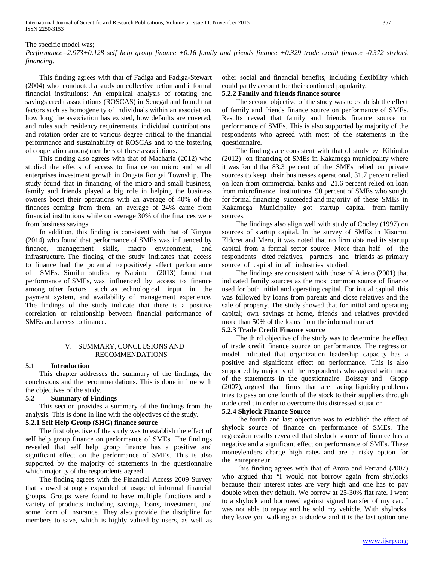# The specific model was;

*Performance=2.973+0.128 self help group finance +0.16 family and friends finance +0.329 trade credit finance -0.372 shylock financing.*

 This finding agrees with that of Fadiga and Fadiga-Stewart (2004) who conducted a study on collective action and informal financial institutions: An empirical analysis of rotating and savings credit associations (ROSCAS) in Senegal and found that factors such as homogeneity of individuals within an association, how long the association has existed, how defaults are covered, and rules such residency requirements, individual contributions, and rotation order are to various degree critical to the financial performance and sustainability of ROSCAs and to the fostering of cooperation among members of these associations.

 This finding also agrees with that of Macharia (2012) who studied the effects of access to finance on micro and small enterprises investment growth in Ongata Rongai Township. The study found that in financing of the micro and small business, family and friends played a big role in helping the business owners boost their operations with an average of 40% of the finances coming from them, an average of 24% came from financial institutions while on average 30% of the finances were from business savings.

 In addition, this finding is consistent with that of Kinyua (2014) who found that performance of SMEs was influenced by finance, management skills, macro environment, and infrastructure. The finding of the study indicates that access to finance had the potential to positively affect performance of SMEs. Similar studies by Nabintu (2013) found that performance of SMEs, was influenced by access to finance among other factors such as technological input in the payment system, and availability of management experience. The findings of the study indicate that there is a positive correlation or relationship between financial performance of SMEs and access to finance.

#### V. SUMMARY, CONCLUSIONS AND RECOMMENDATIONS

#### **5.1 Introduction**

 This chapter addresses the summary of the findings, the conclusions and the recommendations. This is done in line with the objectives of the study.

# **5.2 Summary of Findings**

 This section provides a summary of the findings from the analysis. This is done in line with the objectives of the study.

# **5.2.1 Self Help Group (SHG) finance source**

 The first objective of the study was to establish the effect of self help group finance on performance of SMEs. The findings revealed that self help group finance has a positive and significant effect on the performance of SMEs. This is also supported by the majority of statements in the questionnaire which majority of the respondents agreed.

 The finding agrees with the Financial Access 2009 Survey that showed strongly expanded of usage of informal financial groups. Groups were found to have multiple functions and a variety of products including savings, loans, investment, and some form of insurance. They also provide the discipline for members to save, which is highly valued by users, as well as other social and financial benefits, including flexibility which could partly account for their continued popularity.

# **5.2.2 Family and friends finance source**

 The second objective of the study was to establish the effect of family and friends finance source on performance of SMEs. Results reveal that family and friends finance source on performance of SMEs. This is also supported by majority of the respondents who agreed with most of the statements in the questionnaire.

 The findings are consistent with that of study by Kihimbo (2012) on financing of SMEs in Kakamega municipality where it was found that 83.3 percent of the SMEs relied on private sources to keep their businesses operational, 31.7 percent relied on loan from commercial banks and 21.6 percent relied on loan from microfinance institutions. 90 percent of SMEs who sought for formal financing succeeded and majority of these SMEs in Kakamega Municipality got startup capital from family sources.

 The findings also align well with study of Cooley (1997) on sources of startup capital. In the survey of SMEs in Kisumu, Eldoret and Meru, it was noted that no firm obtained its startup capital from a formal sector source. More than half of the respondents cited relatives, partners and friends as primary source of capital in all industries studied.

 The findings are consistent with those of Atieno (2001) that indicated family sources as the most common source of finance used for both initial and operating capital. For initial capital, this was followed by loans from parents and close relatives and the sale of property. The study showed that for initial and operating capital; own savings at home, friends and relatives provided more than 50% of the loans from the informal market

#### **5.2.3 Trade Credit Finance source**

 The third objective of the study was to determine the effect of trade credit finance source on performance. The regression model indicated that organization leadership capacity has a positive and significant effect on performance. This is also supported by majority of the respondents who agreed with most of the statements in the questionnaire. Boissay and Gropp (2007), argued that firms that are facing liquidity problems tries to pass on one fourth of the stock to their suppliers through trade credit in order to overcome this distressed situation

#### **5.2.4 Shylock Finance Source**

 The fourth and last objective was to establish the effect of shylock source of finance on performance of SMEs. The regression results revealed that shylock source of finance has a negative and a significant effect on performance of SMEs. These moneylenders charge high rates and are a risky option for the entrepreneur.

 This finding agrees with that of Arora and Ferrand (2007) who argued that "I would not borrow again from shylocks because their interest rates are very high and one has to pay double when they default. We borrow at 25-30% flat rate. I went to a shylock and borrowed against signed transfer of my car. I was not able to repay and he sold my vehicle. With shylocks, they leave you walking as a shadow and it is the last option one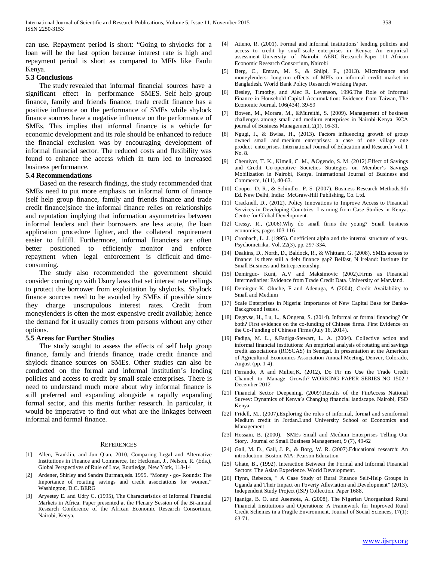can use. Repayment period is short: "Going to shylocks for a loan will be the last option because interest rate is high and repayment period is short as compared to MFIs like Faulu Kenya.

#### **5.3 Conclusions**

 The study revealed that informal financial sources have a significant effect in performance SMES. Self help group finance, family and friends finance; trade credit finance has a positive influence on the performance of SMEs while shylock finance sources have a negative influence on the performance of SMEs. This implies that informal finance is a vehicle for economic development and its role should be enhanced to reduce the financial exclusion was by encouraging development of informal financial sector. The reduced costs and flexibility was found to enhance the access which in turn led to increased business performance.

#### **5.4 Recommendations**

 Based on the research findings, the study recommended that SMEs need to put more emphasis on informal form of finance (self help group finance, family and friends finance and trade credit finance)since the informal finance relies on relationships and reputation implying that information asymmetries between informal lenders and their borrowers are less acute, the loan application procedure lighter, and the collateral requirement easier to fulfill. Furthermore, informal financiers are often better positioned to efficiently monitor and enforce repayment when legal enforcement is difficult and timeconsuming.

 The study also recommended the government should consider coming up with Usury laws that set interest rate ceilings to protect the borrower from exploitation by shylocks. Shylock finance sources need to be avoided by SMEs if possible since they charge unscrupulous interest rates. Credit from moneylenders is often the most expensive credit available; hence the demand for it usually comes from persons without any other options.

#### **5.5 Areas for Further Studies**

 The study sought to assess the effects of self help group finance, family and friends finance, trade credit finance and shylock finance sources on SMEs. Other studies can also be conducted on the formal and informal institution's lending policies and access to credit by small scale enterprises. There is need to understand much more about why informal finance is still preferred and expanding alongside a rapidly expanding formal sector, and this merits further research. In particular, it would be imperative to find out what are the linkages between informal and formal finance.

#### **REFERENCES**

- [1] Allen, Franklin, and Jun Qian, 2010, Comparing Legal and Alternative Institutions in Finance and Commerce, In: Heckman, J., Nelson, R. (Eds.), Global Perspectives of Rule of Law, Routledge, New York, 118-14
- [2] Ardener, Shirley and Sandra Burman,eds. 1995. "Money go- Rounds: The Importance of rotating savings and credit associations for women." Washington, D.C. BERG
- [3] Aryeetey E. and Udry C. (1995), The Characteristics of Informal Financial Markets in Africa. Paper presented at the Plenary Session of the Bi-annual Research Conference of the African Economic Research Consortium, Nairobi, Kenya,
- [4] Atieno, R. (2001). Formal and informal institutions' lending policies and access to credit by small-scale enterprises in Kenya: An empirical assessment University of Nairobi AERC Research Paper 111 African Economic Research Consortium, Nairobi
- [5] Berg, C., Emran, M. S., & Shilpi, F., (2013). Microfinance and moneylenders: long-run effects of MFIs on informal credit market in Bangladesh. World Bank Policy Research Working Paper.
- [6] Besley, Timothy, and Alec R. Levenson, 1996.The Role of Informal Finance in Household Capital Accumulation: Evidence from Taiwan, The Economic Journal, 106(434), 39-59
- [7] Bowen, M., Morara, M., &Mureithi, S. (2009). Management of business challenges among small and medium enterprises in Nairobi-Kenya. KCA journal of Business Management, 2(1), 16-31.
- [8] Ngugi, J., & Bwisa, H., (2013). Factors influencing growth of group owned small and medium enterprises: a case of one village one product enterprises. International Journal of Education and Research Vol. 1 No. 8.
- [9] Cheruiyot, T. K., Kimeli, C. M., &Ogendo, S. M. (2012).Effect of Savings and Credit Co-operative Societies Strategies on Member's Savings Mobilization in Nairobi, Kenya. International Journal of Business and Commerce, 1(11), 40-63.
- [10] Cooper, D. R., & Schindler, P. S. (2007). Business Research Methods.9th Ed. New Delhi, India: McGraw-Hill Publishing, Co. Ltd.
- [11] Cracknell, D., (2012). Policy Innovations to Improve Access to Financial Services in Developing Countries: Learning from Case Studies in Kenya. Centre for Global Development.
- [12] Cressy, R., (2006).Why do small firms die young? Small business economics, pages 103-116
- [13] Cronbach, L. J. (1995). Coefficient alpha and the internal structure of tests. Psychometrika, Vol. 22(3), pp. 297-334.
- [14] Deakins, D., North, D., Baldock, R., & Whittam, G. (2008). SMEs access to finance: is there still a debt finance gap? Belfast, N Ireland: Institute for Small Business and Entrepreneurship.
- [15] Demirguc- Kunt, A.V and Maksimovic (2002).Firms as Financial Intermediaries: Evidence from Trade Credit Data. University of Maryland.
- [16] Demirguc-K, Oluche, F and Adenuga, A (2004), Credit Availability to Small and Medium
- [17] Scale Enterprises in Nigeria: Importance of New Capital Base for Banks-Background Issues.
- [18] Degryse, H., Lu, L., &Ongena, S. (2014). Informal or formal financing? Or both? First evidence on the co-funding of Chinese firms. First Evidence on the Co-Funding of Chinese Firms (July 16, 2014).
- [19] Fadiga, M. L., &Fadiga-Stewart, L. A. (2004). Collective action and informal financial institutions: An empirical analysis of rotating and savings credit associations (ROSCAS) in Senegal. In presentation at the American of Agricultural Economics Association Annual Meeting, Denver, Colorado, August (pp. 1-4).
- [20] Ferrando, A and Mulier, K. (2012), Do Fir ms Use the Trade Credit Channel to Manage Growth? WORKING PAPER SERIES NO 1502 / December 2012
- [21] Financial Sector Deepening, (2009).Results of the FinAccess National Survey: Dynamics of Kenya's Changing financial landscape. Nairobi, FSD Kenya.
- [22] Fridell, M., (2007).Exploring the roles of informal, formal and semiformal Medium credit in Jordan.Lund University School of Economics and Management
- [23] Hossain, B. (2000). SMEs Small and Medium Enterprises Telling Our Story. Journal of Small Business Management, 9 (7), 49-62
- [24] Gall, M. D., Gall, J. P., & Borg, W. R. (2007). Educational research: An introduction. Boston, MA: Pearson Education
- [25] Ghate, B., (1992). Interaction Between the Formal and Informal Financial Sectors: The Asian Experience. World Development.
- [26] Flynn, Rebecca, " A Case Study of Rural Finance Self-Help Groups in Uganda and Their Impact on Poverty Alleviation and Development" (2013). Independent Study Project (ISP) Collection. Paper 1688.
- [27] Iganiga, B. O. and Asemota, A. (2008), The Nigerian Unorganized Rural Financial Institutions and Operations: A Framework for Improved Rural Credit Schemes in a Fragile Environment. Journal of Social Sciences, 17(1): 63-71.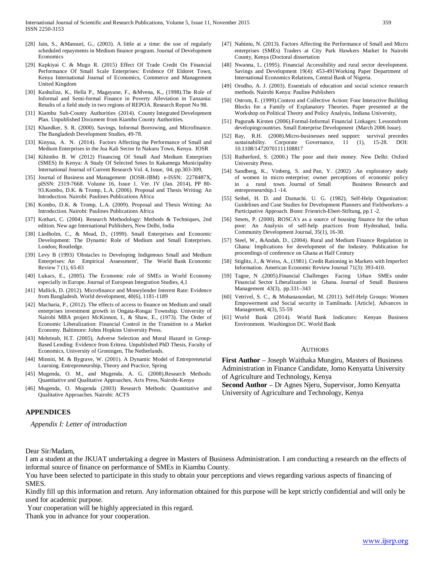- [28] Jain, S., &Mansuri, G., (2003). A little at a time: the use of regularly scheduled repayments in Medium finance program. Journal of Development Economics
- [29] Kapkiyai C & Mugo R. (2015) Effect Of Trade Credit On Financial Performance Of Small Scale Enterprises: Evidence Of Eldoret Town, Kenya International Journal of Economics, Commerce and Management United Kingdom
- [30] Kashuliza, K., Hella P., Magayane, F., &Mvena, K., (1998).The Role of Informal and Semi-formal Finance in Poverty Alleviation in Tanzania: Results of a field study in two regions of REPOA. Research Report No 98.
- [31] Kiambu Sub-County Authorities (2014). County Integrated Development Plan. Unpublished Document from Kiambu County Authorities.
- [32] Khandker, S. R. (2000). Savings, Informal Borrowing, and Microfinance. The Bangladesh Development Studies, 49-78.
- [33] Kinyua, A. N. (2014). Factors Affecting the Performance of Small and Medium Enterprises in the Jua Kali Sector In Nakuru Town, Kenya. IOSR
- [34] Kihimbo B. W (2012) Financing Of Small And Medium Enterprises (SMES) In Kenya: A Study Of Selected Smes In Kakamega Municipality International Journal of Current Research Vol. 4, Issue, 04, pp.303-309,
- [35] Journal of Business and Management (IOSR-JBM) e-ISSN: 2278487X, pISSN: 2319-7668. Volume 16, Issue 1. Ver. IV (Jan. 2014), PP 80- 93.Kombo, D.K. & Tromp, L.A. (2006). Proposal and Thesis Writing: An Introduction. Nairobi: Paulines Publications Africa
- [36] Kombo, D.K. & Tromp, L.A. (2009). Proposal and Thesis Writing: An Introduction. Nairobi: Paulines Publications Africa
- [37] Kothari, C. (2004). Research Methodology: Methods & Techniques, 2nd edition. New age International Publishers, New Delhi, India
- [38] Liedholm, C., & Mead, D., (1999). Small Enterprises and Economic Development: The Dynamic Role of Medium and Small Enterprises. London; Routledge.
- [39] Levy B (1993) 'Obstacles to Developing Indigenous Small and Medium Enterprises: An Empirical Assessment', The World Bank Economic Review 7 (1), 65-83
- [40] Lukacs, E., (2005). The Economic role of SMEs in World Economy especially in Europe. Journal of European Integration Studies, 4,1
- [41] Mallick, D. (2012). Microfinance and Moneylender Interest Rate: Evidence from Bangladesh. World development, 40(6), 1181-1189
- [42] Macharia, P., (2012). The effects of access to finance on Medium and small enterprises investment growth in Ongata-Rongai Township. University of Nairobi MBA project McKinnon, I., & Shaw, E., (1973). The Order of Economic Liberalization: Financial Control in the Transition to a Market Economy. Baltimore: Johns Hopkins University Press.
- [43] Mehrteab, H.T. (2005), Adverse Selection and Moral Hazard in Group-Based Lending: Evidence from Eritrea. Unpublished PhD Thesis, Faculty of Economics, University of Groningen, The Netherlands.
- [44] Minniti, M. & Bygrave, W. (2001). A Dynamic Model of Entrepreneurial Learning. Entrepreneurship, Theory and Practice, Spring
- [45] Mugenda, O. M., and Mugenda, A. G. (2008).Research Methods: Quantitative and Qualitative Approaches, Acts Press, Nairobi-Kenya
- [46] Mugenda, O. Mugenda (2003) Research Methods: Quantitative and Qualitative Approaches. Nairobi: ACTS

#### **APPENDICES**

*Appendix I: Letter of introduction*

#### Dear Sir/Madam,

I am a student at the JKUAT undertaking a degree in Masters of Business Administration. I am conducting a research on the effects of informal source of finance on performance of SMEs in Kiambu County.

You have been selected to participate in this study to obtain your perceptions and views regarding various aspects of financing of SMES.

Kindly fill up this information and return. Any information obtained for this purpose will be kept strictly confidential and will only be used for academic purpose.

Your cooperation will be highly appreciated in this regard.

Thank you in advance for your cooperation.

- [47] Nabintu, N. (2013). Factors Affecting the Performance of Small and Micro enterprises (SMEs) Traders at City Park Hawkers Market In Nairobi County, Kenya (Doctoral dissertation
- [48] Nwanna, I., (1995). Financial Accessibility and rural sector development. Savings and Development 19(4): 453-491Working Paper Department of International Economics Relations, Central Bank of Nigeria.
- [49] Orodho, A. J. (2003). Essentials of education and social science research methods. Nairobi Kenya: Pauline Publishers
- [50] Ostrom, E. (1999).Context and Collective Action: Four Interactive Building Blocks for a Family of Explanatory Theories. Paper presented at the Workshop on Political Theory and Policy Analysis, Indiana University,
- [51] Pagura& Kirsten (2006).Formal-Informal Financial Linkages: Lessonsfrom developingcountries. Small Enterprise Development (March 2006 Issue).
- [52] Ray, R.H. (2008).Micro-businesses need support: survival precedes sustainability. Corporate Governance, 11 (1), 15-28. DOI: 10.1108/14720701111108817
- [53] Rutherford, S. (2000.) The poor and their money. New Delhi: Oxford University Press.
- [54] Sandberg, K., Vinberg, S. and Pan, Y. (2002) .An exploratory study of women in micro enterprise; owner perceptions of economic policy in a rural town. Journal of Small Business Research and entrepreneurship.1 -14.
- [55] Seibel, H. D. and Damachi. U. G. (1982), Self-Help Organization: Guidelines and Case Studies for Development Planners and Fieldworkers- a Participative Approach. Bonn: Frienrich-Ebert-Stiftung, pp.1 -2.
- [56] Smets, P. (2000). ROSCA's as a source of housing finance for the urban poor: An Analysis of self-help practices from Hyderabad, India. Community Development Journal, 35(1), 16-30.
- [57] Steel, W., &Andah, D., (2004). Rural and Medium Finance Regulation in Ghana: Implications for development of the Industry. Publication for proceedings of conference on Ghana at Half Century
- [58] Stiglitz, J., & Weiss, A., (1981). Credit Rationing in Markets with Imperfect Information. American Economic Review Journal 71(3): 393-410.
- [59] Tagoe, N .(2005).Financial Challenges Facing Urban SMEs under Financial Sector Liberalization in Ghana. Journal of Small Business Management 43(3), pp.331–343
- [60] Vetrivel, S. C., & Mohanasundari, M. (2011). Self-Help Groups: Women Empowerment and Social security in Tamilnadu. [Article]. Advances in Management, 4(3), 55-59
- [61] World Bank (2014). World Bank Indicators: Kenyan Business Environment. Washington DC. World Bank

#### **AUTHORS**

**First Author** – Joseph Waithaka Mungiru, Masters of Business Administration in Finance Candidate, Jomo Kenyatta University of Agriculture and Technology, Kenya

**Second Author** – Dr Agnes Njeru, Supervisor, Jomo Kenyatta University of Agriculture and Technology, Kenya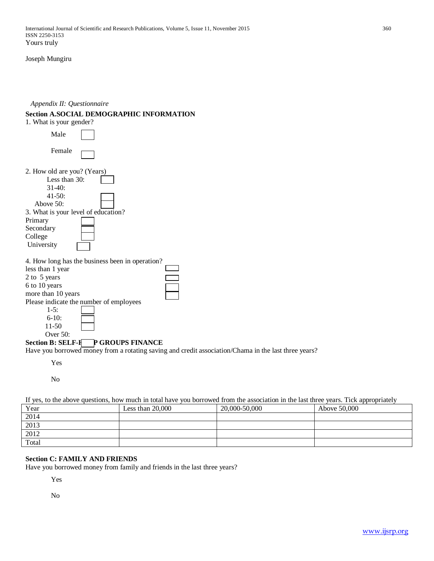Joseph Mungiru

# *Appendix II: Questionnaire*

# **Section A.SOCIAL DEMOGRAPHIC INFORMATION**

| 1. What is your gender?                                                                                                                                                                                                                                                   |  |
|---------------------------------------------------------------------------------------------------------------------------------------------------------------------------------------------------------------------------------------------------------------------------|--|
| Male                                                                                                                                                                                                                                                                      |  |
| Female                                                                                                                                                                                                                                                                    |  |
| 2. How old are you? (Years)<br>Less than $30$ :<br>$31-40:$<br>$41 - 50$ :<br>Above 50:<br>3. What is your level of education?<br>Primary<br>Secondary<br>College<br>University                                                                                           |  |
| 4. How long has the business been in operation?<br>less than 1 year<br>2 to 5 years<br>6 to 10 years<br>more than 10 years<br>Please indicate the number of employees<br>$1-5:$<br>$6 - 10$ :<br>$11 - 50$<br>Over $50$ :<br>P GROUPS FINANCE<br><b>Section B: SELF-H</b> |  |

Have you borrowed money from a rotating saving and credit association/Chama in the last three years?

Yes

No

| If yes, to the above questions, how much in total have you borrowed from the association in the last three years. Tick appropriately |                    |               |              |  |
|--------------------------------------------------------------------------------------------------------------------------------------|--------------------|---------------|--------------|--|
| Year                                                                                                                                 | Less than $20,000$ | 20,000-50,000 | Above 50,000 |  |
| 2014                                                                                                                                 |                    |               |              |  |
| 2013                                                                                                                                 |                    |               |              |  |
| 2012                                                                                                                                 |                    |               |              |  |
| Total                                                                                                                                |                    |               |              |  |

# **Section C: FAMILY AND FRIENDS**

Have you borrowed money from family and friends in the last three years?

Yes

No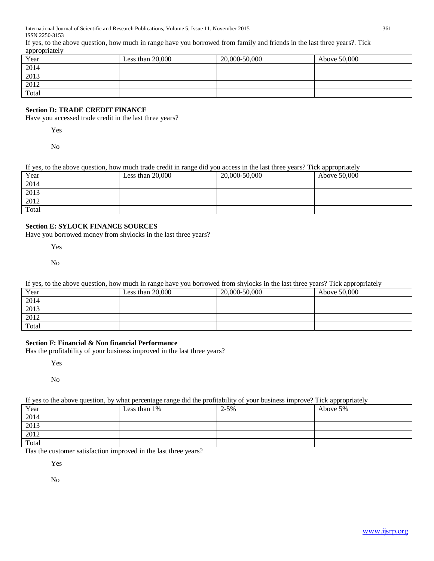If yes, to the above question, how much in range have you borrowed from family and friends in the last three years?. Tick appropriately

| .<br>Year | Less than $20,000$ | 20,000-50,000 | Above 50,000 |
|-----------|--------------------|---------------|--------------|
| 2014      |                    |               |              |
| 2013      |                    |               |              |
| 2012      |                    |               |              |
| Total     |                    |               |              |

# **Section D: TRADE CREDIT FINANCE**

Have you accessed trade credit in the last three years?

Yes

No

| Year  | Less than $20,000$ | 20,000-50,000 | Above 50,000 |
|-------|--------------------|---------------|--------------|
| 2014  |                    |               |              |
| 2013  |                    |               |              |
| 2012  |                    |               |              |
| Total |                    |               |              |

# **Section E: SYLOCK FINANCE SOURCES**

Have you borrowed money from shylocks in the last three years?

Yes

No

| If yes, to the above question, how much in range have you borrowed from shylocks in the last three years? Tick appropriately |                    |               |              |  |  |
|------------------------------------------------------------------------------------------------------------------------------|--------------------|---------------|--------------|--|--|
| Year                                                                                                                         | Less than $20,000$ | 20,000-50,000 | Above 50,000 |  |  |
| 2014                                                                                                                         |                    |               |              |  |  |
| 2013                                                                                                                         |                    |               |              |  |  |
| 2012                                                                                                                         |                    |               |              |  |  |
| Total                                                                                                                        |                    |               |              |  |  |

# **Section F: Financial & Non financial Performance**

Has the profitability of your business improved in the last three years?

Yes

No

# If yes to the above question, by what percentage range did the profitability of your business improve? Tick appropriately

| Year                                     | Less than 1% | $2 - 5\%$ | Above 5% |
|------------------------------------------|--------------|-----------|----------|
|                                          |              |           |          |
|                                          |              |           |          |
|                                          |              |           |          |
| $\frac{2014}{2013}$ $\frac{2012}{Total}$ |              |           |          |

Has the customer satisfaction improved in the last three years?

Yes

No